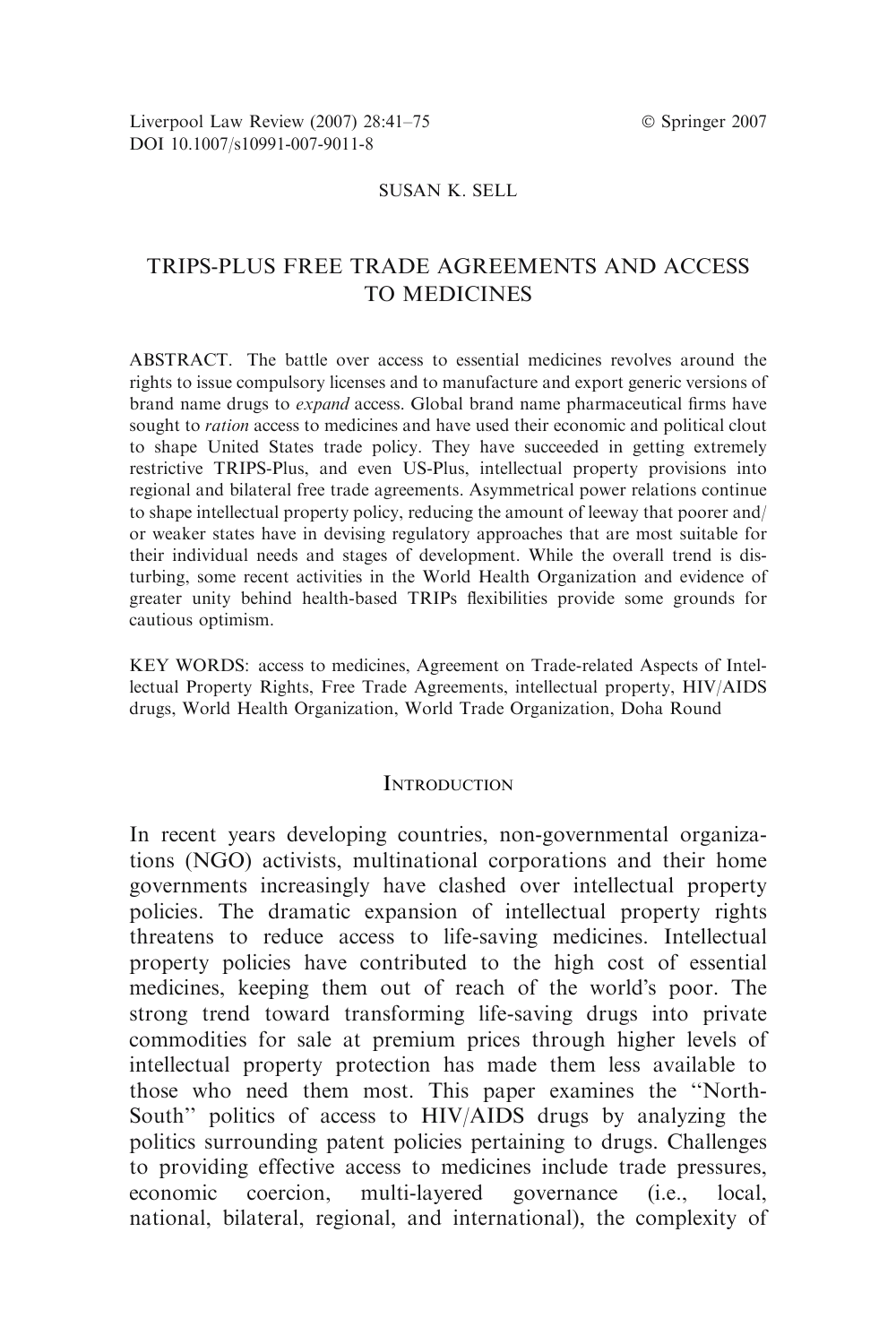#### SUSAN K. SELL

# TRIPS-PLUS FREE TRADE AGREEMENTS AND ACCESS TO MEDICINES

ABSTRACT. The battle over access to essential medicines revolves around the rights to issue compulsory licenses and to manufacture and export generic versions of brand name drugs to expand access. Global brand name pharmaceutical firms have sought to *ration* access to medicines and have used their economic and political clout to shape United States trade policy. They have succeeded in getting extremely restrictive TRIPS-Plus, and even US-Plus, intellectual property provisions into regional and bilateral free trade agreements. Asymmetrical power relations continue to shape intellectual property policy, reducing the amount of leeway that poorer and/ or weaker states have in devising regulatory approaches that are most suitable for their individual needs and stages of development. While the overall trend is disturbing, some recent activities in the World Health Organization and evidence of greater unity behind health-based TRIPs flexibilities provide some grounds for cautious optimism.

KEY WORDS: access to medicines, Agreement on Trade-related Aspects of Intellectual Property Rights, Free Trade Agreements, intellectual property, HIV/AIDS drugs, World Health Organization, World Trade Organization, Doha Round

#### **INTRODUCTION**

In recent years developing countries, non-governmental organizations (NGO) activists, multinational corporations and their home governments increasingly have clashed over intellectual property policies. The dramatic expansion of intellectual property rights threatens to reduce access to life-saving medicines. Intellectual property policies have contributed to the high cost of essential medicines, keeping them out of reach of the world's poor. The strong trend toward transforming life-saving drugs into private commodities for sale at premium prices through higher levels of intellectual property protection has made them less available to those who need them most. This paper examines the ''North-South'' politics of access to HIV/AIDS drugs by analyzing the politics surrounding patent policies pertaining to drugs. Challenges to providing effective access to medicines include trade pressures, economic coercion, multi-layered governance (i.e., local, national, bilateral, regional, and international), the complexity of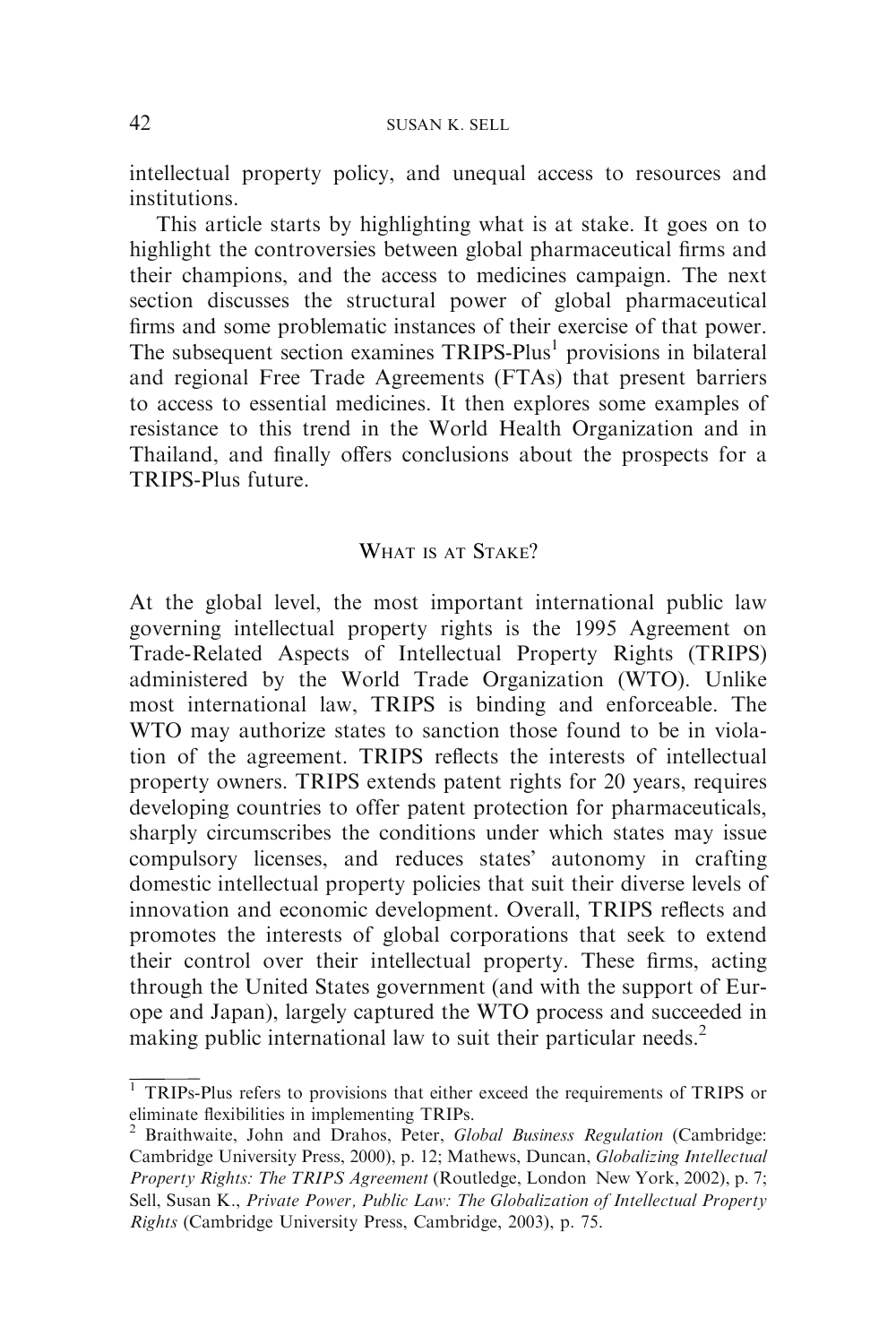intellectual property policy, and unequal access to resources and institutions.

This article starts by highlighting what is at stake. It goes on to highlight the controversies between global pharmaceutical firms and their champions, and the access to medicines campaign. The next section discusses the structural power of global pharmaceutical firms and some problematic instances of their exercise of that power. The subsequent section examines TRIPS-Plus<sup>1</sup> provisions in bilateral and regional Free Trade Agreements (FTAs) that present barriers to access to essential medicines. It then explores some examples of resistance to this trend in the World Health Organization and in Thailand, and finally offers conclusions about the prospects for a TRIPS-Plus future.

# WHAT IS AT STAKE?

At the global level, the most important international public law governing intellectual property rights is the 1995 Agreement on Trade-Related Aspects of Intellectual Property Rights (TRIPS) administered by the World Trade Organization (WTO). Unlike most international law, TRIPS is binding and enforceable. The WTO may authorize states to sanction those found to be in violation of the agreement. TRIPS reflects the interests of intellectual property owners. TRIPS extends patent rights for 20 years, requires developing countries to offer patent protection for pharmaceuticals, sharply circumscribes the conditions under which states may issue compulsory licenses, and reduces states' autonomy in crafting domestic intellectual property policies that suit their diverse levels of innovation and economic development. Overall, TRIPS reflects and promotes the interests of global corporations that seek to extend their control over their intellectual property. These firms, acting through the United States government (and with the support of Europe and Japan), largely captured the WTO process and succeeded in making public international law to suit their particular needs.<sup>2</sup>

 $\overline{1}$  TRIPs-Plus refers to provisions that either exceed the requirements of TRIPS or eliminate flexibilities in implementing TRIPs.

 $2$  Braithwaite, John and Drahos, Peter, Global Business Regulation (Cambridge: Cambridge University Press, 2000), p. 12; Mathews, Duncan, Globalizing Intellectual Property Rights: The TRIPS Agreement (Routledge, London New York, 2002), p. 7; Sell, Susan K., Private Power, Public Law: The Globalization of Intellectual Property Rights (Cambridge University Press, Cambridge, 2003), p. 75.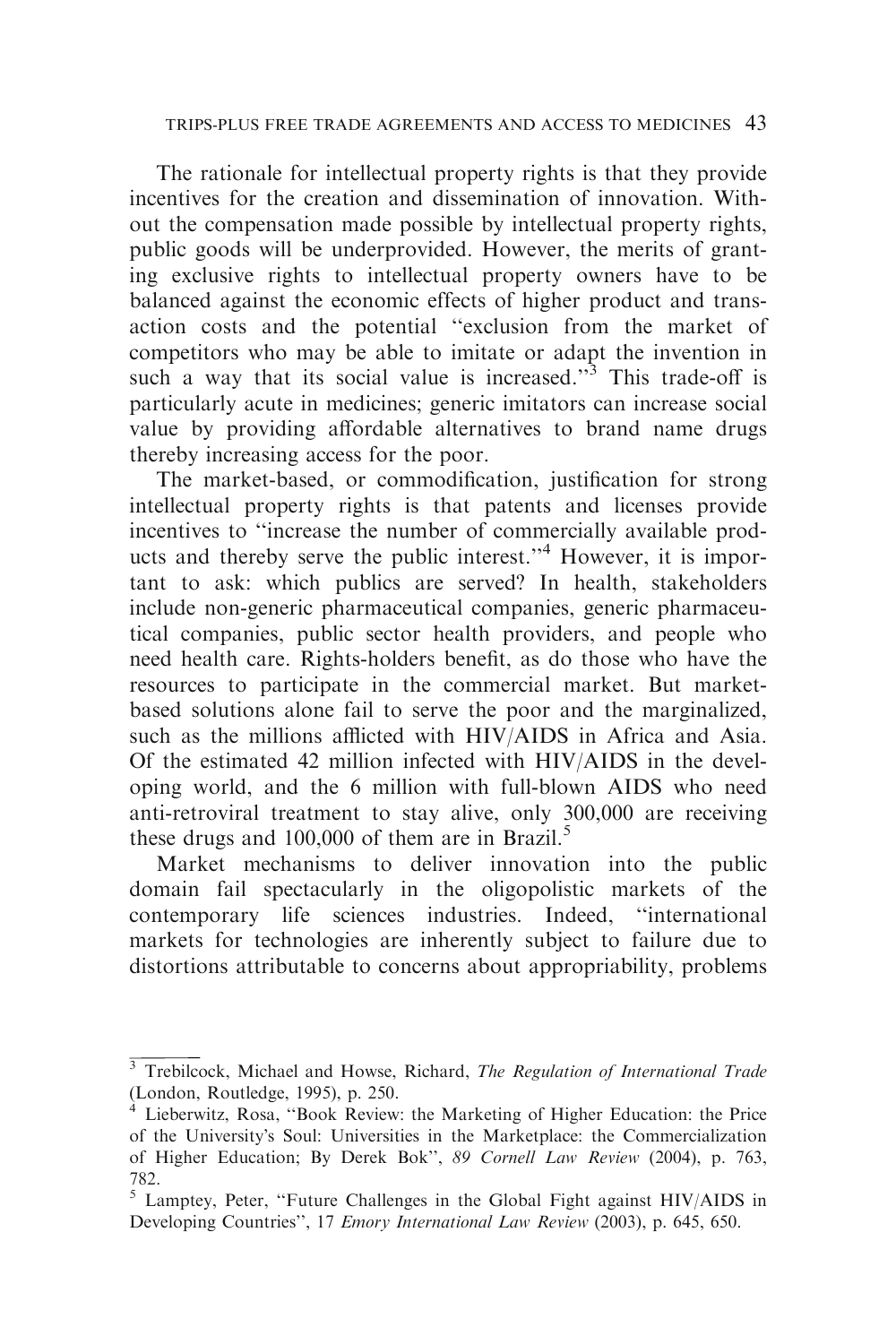The rationale for intellectual property rights is that they provide incentives for the creation and dissemination of innovation. Without the compensation made possible by intellectual property rights, public goods will be underprovided. However, the merits of granting exclusive rights to intellectual property owners have to be balanced against the economic effects of higher product and transaction costs and the potential ''exclusion from the market of competitors who may be able to imitate or adapt the invention in such a way that its social value is increased."<sup>3</sup> This trade-off is particularly acute in medicines; generic imitators can increase social value by providing affordable alternatives to brand name drugs thereby increasing access for the poor.

The market-based, or commodification, justification for strong intellectual property rights is that patents and licenses provide incentives to ''increase the number of commercially available products and thereby serve the public interest."<sup>4</sup> However, it is important to ask: which publics are served? In health, stakeholders include non-generic pharmaceutical companies, generic pharmaceutical companies, public sector health providers, and people who need health care. Rights-holders benefit, as do those who have the resources to participate in the commercial market. But marketbased solutions alone fail to serve the poor and the marginalized, such as the millions afflicted with HIV/AIDS in Africa and Asia. Of the estimated 42 million infected with HIV/AIDS in the developing world, and the 6 million with full-blown AIDS who need anti-retroviral treatment to stay alive, only 300,000 are receiving these drugs and  $100,000$  of them are in Brazil.<sup>5</sup>

Market mechanisms to deliver innovation into the public domain fail spectacularly in the oligopolistic markets of the contemporary life sciences industries. Indeed, ''international markets for technologies are inherently subject to failure due to distortions attributable to concerns about appropriability, problems

<sup>&</sup>lt;sup>3</sup> Trebilcock, Michael and Howse, Richard, The Regulation of International Trade (London, Routledge, 1995), p. 250.

<sup>4</sup> Lieberwitz, Rosa, ''Book Review: the Marketing of Higher Education: the Price of the Universitys Soul: Universities in the Marketplace: the Commercialization of Higher Education; By Derek Bok'', 89 Cornell Law Review (2004), p. 763, 782.

<sup>5</sup> Lamptey, Peter, ''Future Challenges in the Global Fight against HIV/AIDS in Developing Countries'', 17 Emory International Law Review (2003), p. 645, 650.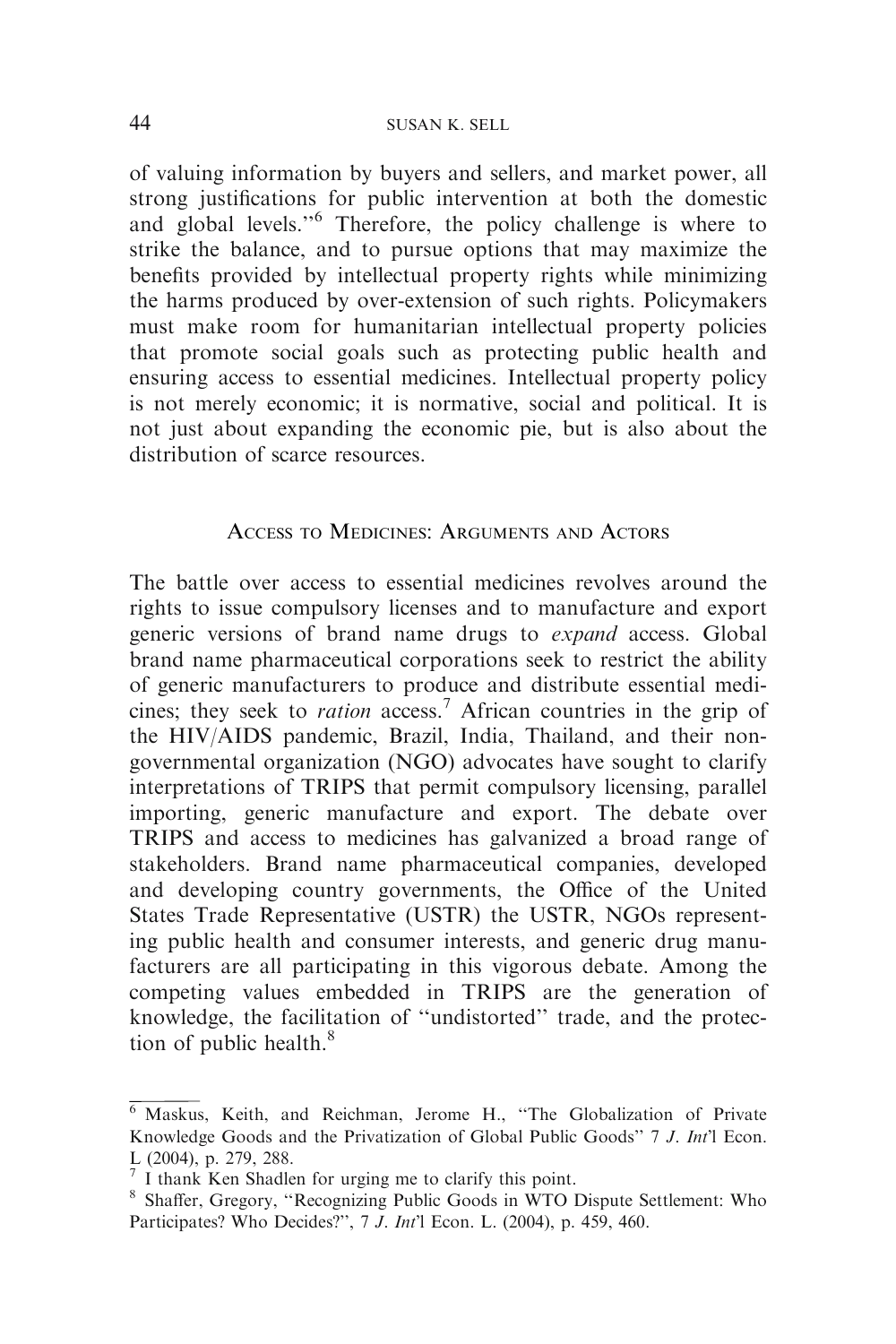of valuing information by buyers and sellers, and market power, all strong justifications for public intervention at both the domestic and global levels.''<sup>6</sup> Therefore, the policy challenge is where to strike the balance, and to pursue options that may maximize the benefits provided by intellectual property rights while minimizing the harms produced by over-extension of such rights. Policymakers must make room for humanitarian intellectual property policies that promote social goals such as protecting public health and ensuring access to essential medicines. Intellectual property policy is not merely economic; it is normative, social and political. It is not just about expanding the economic pie, but is also about the distribution of scarce resources.

### ACCESS TO MEDICINES: ARGUMENTS AND ACTORS

The battle over access to essential medicines revolves around the rights to issue compulsory licenses and to manufacture and export generic versions of brand name drugs to expand access. Global brand name pharmaceutical corporations seek to restrict the ability of generic manufacturers to produce and distribute essential medicines; they seek to *ration* access.<sup>7</sup> African countries in the grip of the HIV/AIDS pandemic, Brazil, India, Thailand, and their nongovernmental organization (NGO) advocates have sought to clarify interpretations of TRIPS that permit compulsory licensing, parallel importing, generic manufacture and export. The debate over TRIPS and access to medicines has galvanized a broad range of stakeholders. Brand name pharmaceutical companies, developed and developing country governments, the Office of the United States Trade Representative (USTR) the USTR, NGOs representing public health and consumer interests, and generic drug manufacturers are all participating in this vigorous debate. Among the competing values embedded in TRIPS are the generation of knowledge, the facilitation of ''undistorted'' trade, and the protection of public health. $8$ 

<sup>6</sup> Maskus, Keith, and Reichman, Jerome H., ''The Globalization of Private Knowledge Goods and the Privatization of Global Public Goods" 7 J. Int'l Econ. L (2004), p. 279, 288.<br> $\frac{7}{1}$  I thank Ken Shadlen for urging me to clarify this point.

<sup>&</sup>lt;sup>8</sup> Shaffer, Gregory, "Recognizing Public Goods in WTO Dispute Settlement: Who Participates? Who Decides?", 7 J. Int'l Econ. L. (2004), p. 459, 460.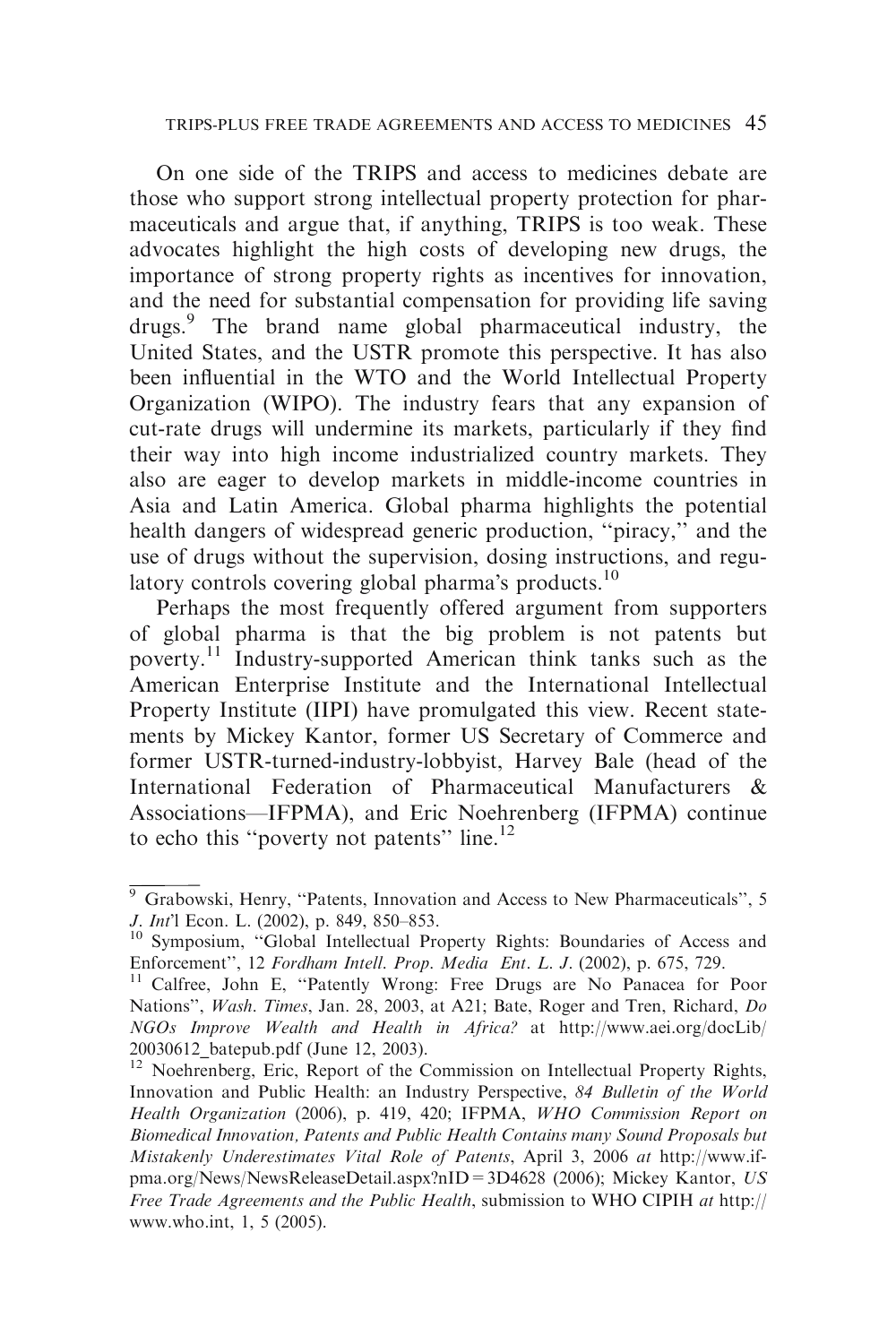On one side of the TRIPS and access to medicines debate are those who support strong intellectual property protection for pharmaceuticals and argue that, if anything, TRIPS is too weak. These advocates highlight the high costs of developing new drugs, the importance of strong property rights as incentives for innovation, and the need for substantial compensation for providing life saving drugs.9 The brand name global pharmaceutical industry, the United States, and the USTR promote this perspective. It has also been influential in the WTO and the World Intellectual Property Organization (WIPO). The industry fears that any expansion of cut-rate drugs will undermine its markets, particularly if they find their way into high income industrialized country markets. They also are eager to develop markets in middle-income countries in Asia and Latin America. Global pharma highlights the potential health dangers of widespread generic production, ''piracy,'' and the use of drugs without the supervision, dosing instructions, and regulatory controls covering global pharma's products.<sup>10</sup>

Perhaps the most frequently offered argument from supporters of global pharma is that the big problem is not patents but poverty.11 Industry-supported American think tanks such as the American Enterprise Institute and the International Intellectual Property Institute (IIPI) have promulgated this view. Recent statements by Mickey Kantor, former US Secretary of Commerce and former USTR-turned-industry-lobbyist, Harvey Bale (head of the International Federation of Pharmaceutical Manufacturers & Associations—IFPMA), and Eric Noehrenberg (IFPMA) continue to echo this "poverty not patents" line.<sup>12</sup>

<sup>&</sup>lt;sup>9</sup> Grabowski, Henry, "Patents, Innovation and Access to New Pharmaceuticals", 5 J. *Int*'l Econ. L. (2002), p. 849, 850–853.

<sup>&</sup>lt;sup>10</sup> Symposium, "Global Intellectual Property Rights: Boundaries of Access and Enforcement", 12 *Fordham Intell. Prop. Media Ent. L. J.* (2002), p. 675, 729.

<sup>&</sup>lt;sup>11</sup> Calfree, John E, "Patently Wrong: Free Drugs are No Panacea for Poor Nations'', Wash. Times, Jan. 28, 2003, at A21; Bate, Roger and Tren, Richard, Do NGOs Improve Wealth and Health in Africa? at http://www.aei.org/docLib/ 20030612\_batepub.pdf (June 12, 2003).

<sup>&</sup>lt;sup>12</sup> Noehrenberg, Eric, Report of the Commission on Intellectual Property Rights, Innovation and Public Health: an Industry Perspective, 84 Bulletin of the World Health Organization (2006), p. 419, 420; IFPMA, WHO Commission Report on Biomedical Innovation, Patents and Public Health Contains many Sound Proposals but Mistakenly Underestimates Vital Role of Patents, April 3, 2006 at http://www.ifpma.org/News/NewsReleaseDetail.aspx?nID=3D4628 (2006); Mickey Kantor, US Free Trade Agreements and the Public Health, submission to WHO CIPIH at http:// www.who.int, 1, 5 (2005).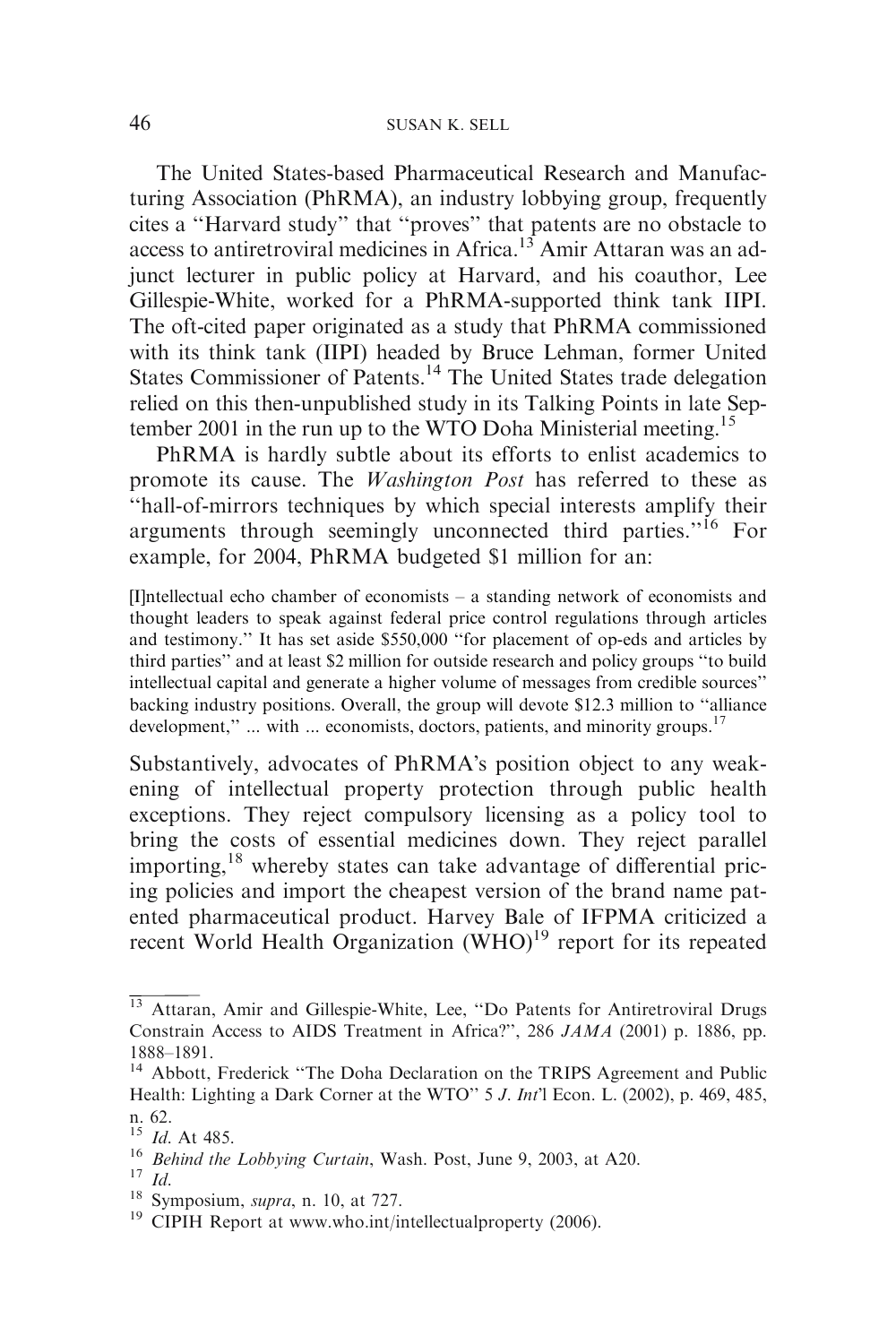The United States-based Pharmaceutical Research and Manufacturing Association (PhRMA), an industry lobbying group, frequently cites a ''Harvard study'' that ''proves'' that patents are no obstacle to access to antiretroviral medicines in Africa.13 Amir Attaran was an adjunct lecturer in public policy at Harvard, and his coauthor, Lee Gillespie-White, worked for a PhRMA-supported think tank IIPI. The oft-cited paper originated as a study that PhRMA commissioned with its think tank (IIPI) headed by Bruce Lehman, former United States Commissioner of Patents.14 The United States trade delegation relied on this then-unpublished study in its Talking Points in late September 2001 in the run up to the WTO Doha Ministerial meeting.<sup>15</sup>

PhRMA is hardly subtle about its efforts to enlist academics to promote its cause. The Washington Post has referred to these as ''hall-of-mirrors techniques by which special interests amplify their arguments through seemingly unconnected third parties."<sup>16</sup> For example, for 2004, PhRMA budgeted \$1 million for an:

[I]ntellectual echo chamber of economists – a standing network of economists and thought leaders to speak against federal price control regulations through articles and testimony.'' It has set aside \$550,000 ''for placement of op-eds and articles by third parties'' and at least \$2 million for outside research and policy groups ''to build intellectual capital and generate a higher volume of messages from credible sources'' backing industry positions. Overall, the group will devote \$12.3 million to ''alliance development," ... with ... economists, doctors, patients, and minority groups.<sup>17</sup>

Substantively, advocates of PhRMA's position object to any weakening of intellectual property protection through public health exceptions. They reject compulsory licensing as a policy tool to bring the costs of essential medicines down. They reject parallel importing,18 whereby states can take advantage of differential pricing policies and import the cheapest version of the brand name patented pharmaceutical product. Harvey Bale of IFPMA criticized a recent World Health Organization (WHO)<sup>19</sup> report for its repeated

<sup>&</sup>lt;sup>13</sup> Attaran, Amir and Gillespie-White, Lee, "Do Patents for Antiretroviral Drugs Constrain Access to AIDS Treatment in Africa?'', 286 JAMA (2001) p. 1886, pp. 1888–1891.

<sup>&</sup>lt;sup>14</sup> Abbott, Frederick "The Doha Declaration on the TRIPS Agreement and Public Health: Lighting a Dark Corner at the WTO" 5 J. Int'l Econ. L. (2002), p. 469, 485, n. 62.<br><sup>15</sup> Id. At 485.

<sup>&</sup>lt;sup>16</sup> Behind the Lobbying Curtain, Wash. Post, June 9, 2003, at A20.<br><sup>17</sup> Id. <sup>18</sup> Symposium, *supra*, n. 10, at 727.<br><sup>19</sup> CIPIH Report at www.who.int/intellectualproperty (2006).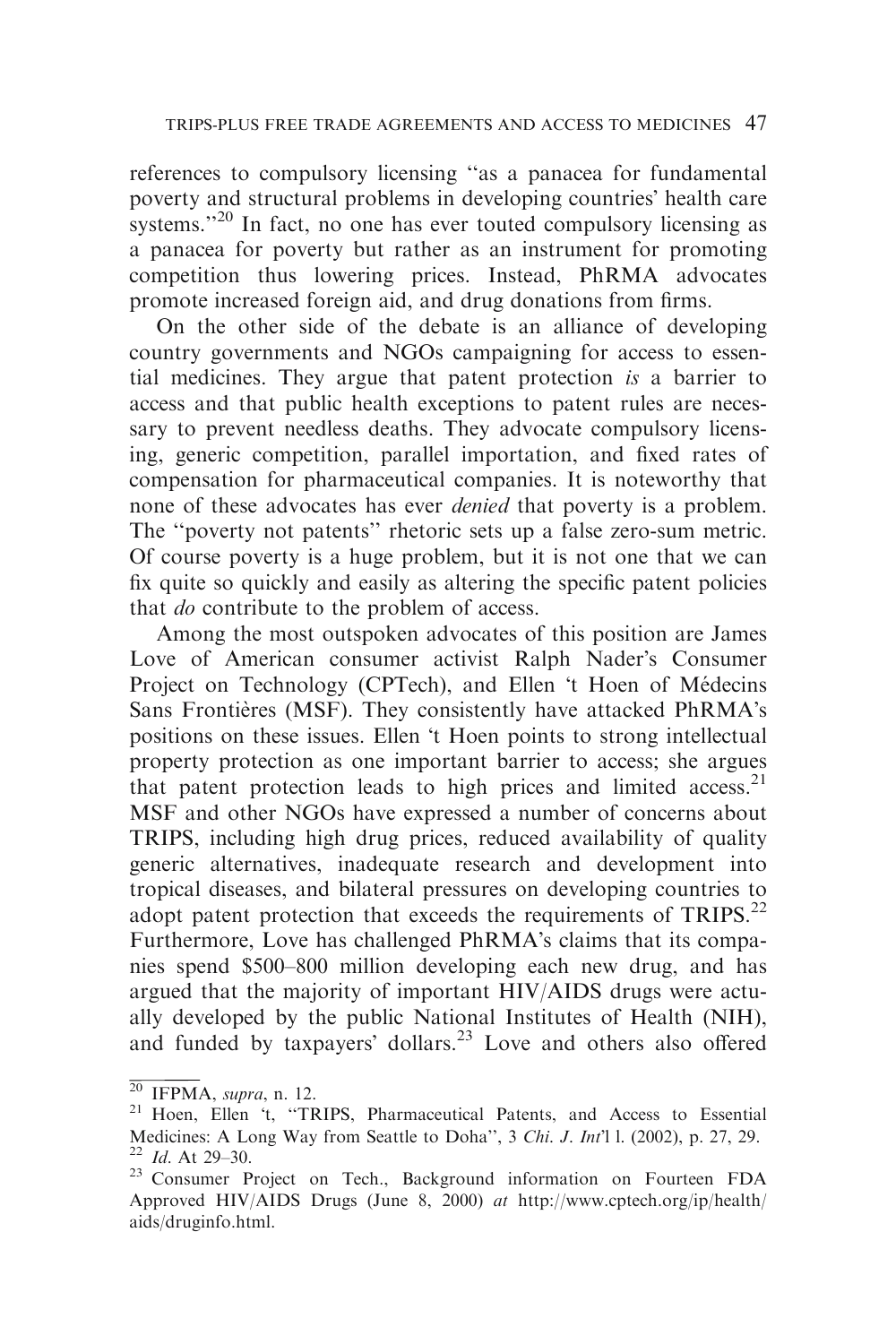references to compulsory licensing ''as a panacea for fundamental poverty and structural problems in developing countries' health care systems."<sup>20</sup> In fact, no one has ever touted compulsory licensing as a panacea for poverty but rather as an instrument for promoting competition thus lowering prices. Instead, PhRMA advocates promote increased foreign aid, and drug donations from firms.

On the other side of the debate is an alliance of developing country governments and NGOs campaigning for access to essential medicines. They argue that patent protection is a barrier to access and that public health exceptions to patent rules are necessary to prevent needless deaths. They advocate compulsory licensing, generic competition, parallel importation, and fixed rates of compensation for pharmaceutical companies. It is noteworthy that none of these advocates has ever denied that poverty is a problem. The ''poverty not patents'' rhetoric sets up a false zero-sum metric. Of course poverty is a huge problem, but it is not one that we can fix quite so quickly and easily as altering the specific patent policies that *do* contribute to the problem of access.

Among the most outspoken advocates of this position are James Love of American consumer activist Ralph Nader's Consumer Project on Technology (CPTech), and Ellen 't Hoen of Médecins Sans Frontières (MSF). They consistently have attacked PhRMA's positions on these issues. Ellen 't Hoen points to strong intellectual property protection as one important barrier to access; she argues that patent protection leads to high prices and limited access.<sup>21</sup> MSF and other NGOs have expressed a number of concerns about TRIPS, including high drug prices, reduced availability of quality generic alternatives, inadequate research and development into tropical diseases, and bilateral pressures on developing countries to adopt patent protection that exceeds the requirements of TRIPS.<sup>22</sup> Furthermore, Love has challenged PhRMA's claims that its companies spend \$500–800 million developing each new drug, and has argued that the majority of important HIV/AIDS drugs were actually developed by the public National Institutes of Health (NIH), and funded by taxpayers' dollars.<sup>23</sup> Love and others also offered

<sup>&</sup>lt;sup>20</sup> IFPMA, *supra*, n. 12.<br><sup>21</sup> Hoen, Ellen 't, "TRIPS, Pharmaceutical Patents, and Access to Essential Medicines: A Long Way from Seattle to Doha", 3 *Chi. J. Int*'l l. (2002), p. 27, 29. <sup>21</sup> Hoen, Ellen 't, "TRIPS, Pharmaceutical Patents, and Access to Essential  $M<sup>22</sup>$  *Id.* At 29–30. <sup>23</sup> Consumer Project on Tech., Background information on Fourteen FDA

Approved HIV/AIDS Drugs (June 8, 2000) at http://www.cptech.org/ip/health/ aids/druginfo.html.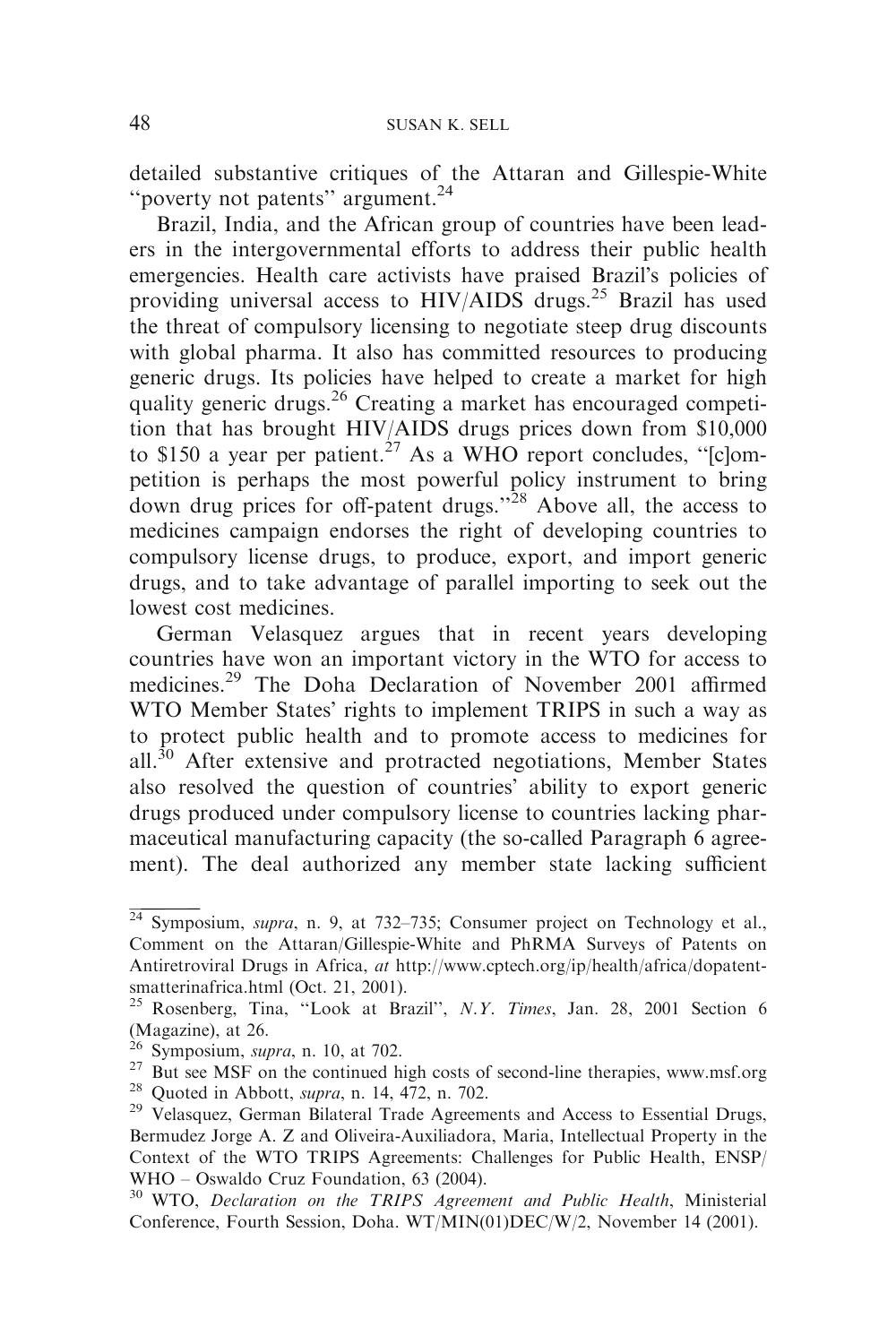detailed substantive critiques of the Attaran and Gillespie-White "poverty not patents" argument.<sup>24</sup>

Brazil, India, and the African group of countries have been leaders in the intergovernmental efforts to address their public health emergencies. Health care activists have praised Brazil's policies of providing universal access to HIV/AIDS drugs.<sup>25</sup> Brazil has used the threat of compulsory licensing to negotiate steep drug discounts with global pharma. It also has committed resources to producing generic drugs. Its policies have helped to create a market for high quality generic drugs.26 Creating a market has encouraged competition that has brought HIV/AIDS drugs prices down from \$10,000 to \$150 a year per patient.<sup>27</sup> As a WHO report concludes, "[c]ompetition is perhaps the most powerful policy instrument to bring down drug prices for off-patent drugs.''<sup>28</sup> Above all, the access to medicines campaign endorses the right of developing countries to compulsory license drugs, to produce, export, and import generic drugs, and to take advantage of parallel importing to seek out the lowest cost medicines.

German Velasquez argues that in recent years developing countries have won an important victory in the WTO for access to medicines.<sup>29</sup> The Doha Declaration of November 2001 affirmed WTO Member States' rights to implement TRIPS in such a way as to protect public health and to promote access to medicines for  $all.^{30}$  After extensive and protracted negotiations, Member States also resolved the question of countries' ability to export generic drugs produced under compulsory license to countries lacking pharmaceutical manufacturing capacity (the so-called Paragraph 6 agreement). The deal authorized any member state lacking sufficient

 $\frac{1}{24}$  Symposium, *supra*, n. 9, at 732–735; Consumer project on Technology et al., Comment on the Attaran/Gillespie-White and PhRMA Surveys of Patents on Antiretroviral Drugs in Africa, at http://www.cptech.org/ip/health/africa/dopatentsmatterinafrica.html (Oct. 21, 2001).

<sup>&</sup>lt;sup>25</sup> Rosenberg, Tina, "Look at Brazil", N.Y. Times, Jan. 28, 2001 Section 6 (Magazine), at 26.<br> $^{26}$  Symposium, *supra*, n. 10, at 702.

<sup>&</sup>lt;sup>27</sup> But see MSF on the continued high costs of second-line therapies, www.msf.org <sup>28</sup> Quoted in Abbott, *supra*, n. 14, 472, n. 702.<br><sup>29</sup> Velasquez, German Bilateral Trade Agreements and Access to Essential Drugs,

Bermudez Jorge A. Z and Oliveira-Auxiliadora, Maria, Intellectual Property in the Context of the WTO TRIPS Agreements: Challenges for Public Health, ENSP/ WHO – Oswaldo Cruz Foundation, 63 (2004).

 $30$  WTO, Declaration on the TRIPS Agreement and Public Health, Ministerial Conference, Fourth Session, Doha. WT/MIN(01)DEC/W/2, November 14 (2001).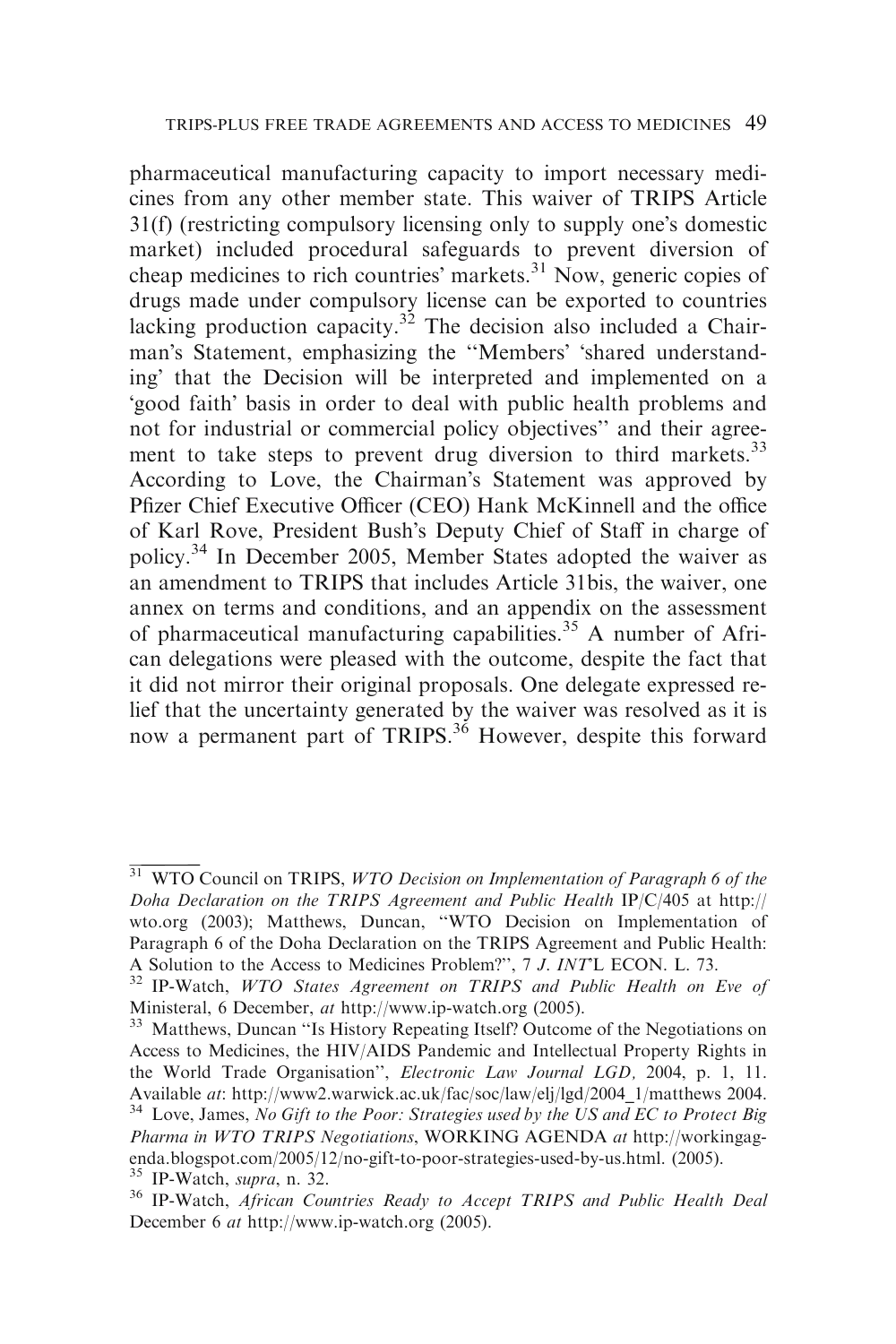pharmaceutical manufacturing capacity to import necessary medicines from any other member state. This waiver of TRIPS Article 31(f) (restricting compulsory licensing only to supply one's domestic market) included procedural safeguards to prevent diversion of cheap medicines to rich countries' markets. $31$  Now, generic copies of drugs made under compulsory license can be exported to countries lacking production capacity.<sup>32</sup> The decision also included a Chairman's Statement, emphasizing the "Members' 'shared understanding' that the Decision will be interpreted and implemented on a 'good faith' basis in order to deal with public health problems and not for industrial or commercial policy objectives'' and their agreement to take steps to prevent drug diversion to third markets.<sup>33</sup> According to Love, the Chairman's Statement was approved by Pfizer Chief Executive Officer (CEO) Hank McKinnell and the office of Karl Rove, President Bush's Deputy Chief of Staff in charge of policy.34 In December 2005, Member States adopted the waiver as an amendment to TRIPS that includes Article 31bis, the waiver, one annex on terms and conditions, and an appendix on the assessment of pharmaceutical manufacturing capabilities.<sup>35</sup> A number of African delegations were pleased with the outcome, despite the fact that it did not mirror their original proposals. One delegate expressed relief that the uncertainty generated by the waiver was resolved as it is now a permanent part of TRIPS.<sup>36</sup> However, despite this forward

 $31$  WTO Council on TRIPS, WTO Decision on Implementation of Paragraph 6 of the Doha Declaration on the TRIPS Agreement and Public Health IP/C/405 at http:// wto.org (2003); Matthews, Duncan, ''WTO Decision on Implementation of Paragraph 6 of the Doha Declaration on the TRIPS Agreement and Public Health:

A Solution to the Access to Medicines Problem?'', 7 J. INTL ECON. L. 73.<br><sup>32</sup> IP-Watch, *WTO States Agreement on TRIPS and Public Health on Eve of* Ministeral, 6 December, *at* http://www.ip-watch.org (2005).

<sup>&</sup>lt;sup>33</sup> Matthews, Duncan "Is History Repeating Itself? Outcome of the Negotiations on Access to Medicines, the HIV/AIDS Pandemic and Intellectual Property Rights in the World Trade Organisation", *Electronic Law Journal LGD*, 2004, p. 1, 11.<br>Available *at*: http://www2.warwick.ac.uk/fac/soc/law/elj/lgd/2004 1/matthews 2004.  $^{34}$  Love, James, No Gift to the Poor: Strategies used by the US and EC to Protect Big Pharma in WTO TRIPS Negotiations, WORKING AGENDA at http://workingagenda.blogspot.com/2005/12/no-gift-to-poor-strategies-used-by-us.html. (2005).<br><sup>35</sup> IP-Watch, *supra*, n. 32.

<sup>&</sup>lt;sup>36</sup> IP-Watch, African Countries Ready to Accept TRIPS and Public Health Deal December 6 at http://www.ip-watch.org (2005).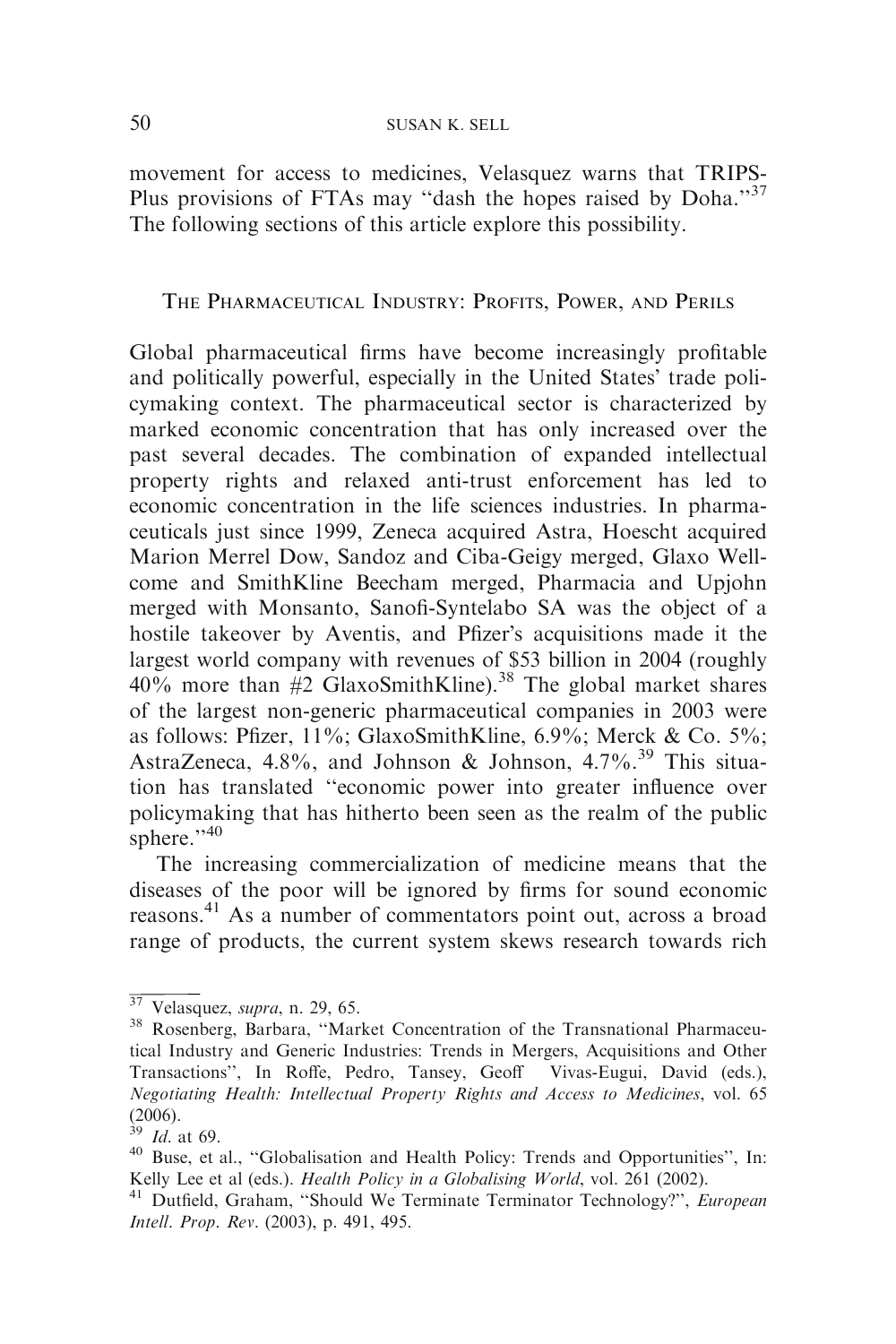### 50 SUSAN K. SELL

movement for access to medicines, Velasquez warns that TRIPS-Plus provisions of FTAs may "dash the hopes raised by Doha."<sup>37</sup> The following sections of this article explore this possibility.

### THE PHARMACEUTICAL INDUSTRY: PROFITS, POWER, AND PERILS

Global pharmaceutical firms have become increasingly profitable and politically powerful, especially in the United States' trade policymaking context. The pharmaceutical sector is characterized by marked economic concentration that has only increased over the past several decades. The combination of expanded intellectual property rights and relaxed anti-trust enforcement has led to economic concentration in the life sciences industries. In pharmaceuticals just since 1999, Zeneca acquired Astra, Hoescht acquired Marion Merrel Dow, Sandoz and Ciba-Geigy merged, Glaxo Wellcome and SmithKline Beecham merged, Pharmacia and Upjohn merged with Monsanto, Sanofi-Syntelabo SA was the object of a hostile takeover by Aventis, and Pfizer's acquisitions made it the largest world company with revenues of \$53 billion in 2004 (roughly 40% more than #2 GlaxoSmithKline).<sup>38</sup> The global market shares of the largest non-generic pharmaceutical companies in 2003 were as follows: Pfizer, 11%; GlaxoSmithKline, 6.9%; Merck & Co. 5%; AstraZeneca,  $4.8\%$ , and Johnson & Johnson,  $4.7\%$ <sup>39</sup> This situation has translated ''economic power into greater influence over policymaking that has hitherto been seen as the realm of the public sphere."<sup>40</sup>

The increasing commercialization of medicine means that the diseases of the poor will be ignored by firms for sound economic reasons.41 As a number of commentators point out, across a broad range of products, the current system skews research towards rich

 $37$  Velasquez, *supra*, n. 29, 65.<br><sup>38</sup> Rosenberg, Barbara, "Market Concentration of the Transnational Pharmaceutical Industry and Generic Industries: Trends in Mergers, Acquisitions and Other Transactions'', In Roffe, Pedro, Tansey, Geoff Vivas-Eugui, David (eds.), Negotiating Health: Intellectual Property Rights and Access to Medicines, vol. 65  $\frac{(2006)}{^{39}}$  *Id.* at 69.

<sup>&</sup>lt;sup>40</sup> Buse, et al., "Globalisation and Health Policy: Trends and Opportunities", In: Kelly Lee et al (eds.). *Health Policy in a Globalising World*, vol. 261 (2002).<br><sup>41</sup> Dutfield, Graham, "Should We Terminate Terminator Technology?", *European* 

Intell. Prop. Rev. (2003), p. 491, 495.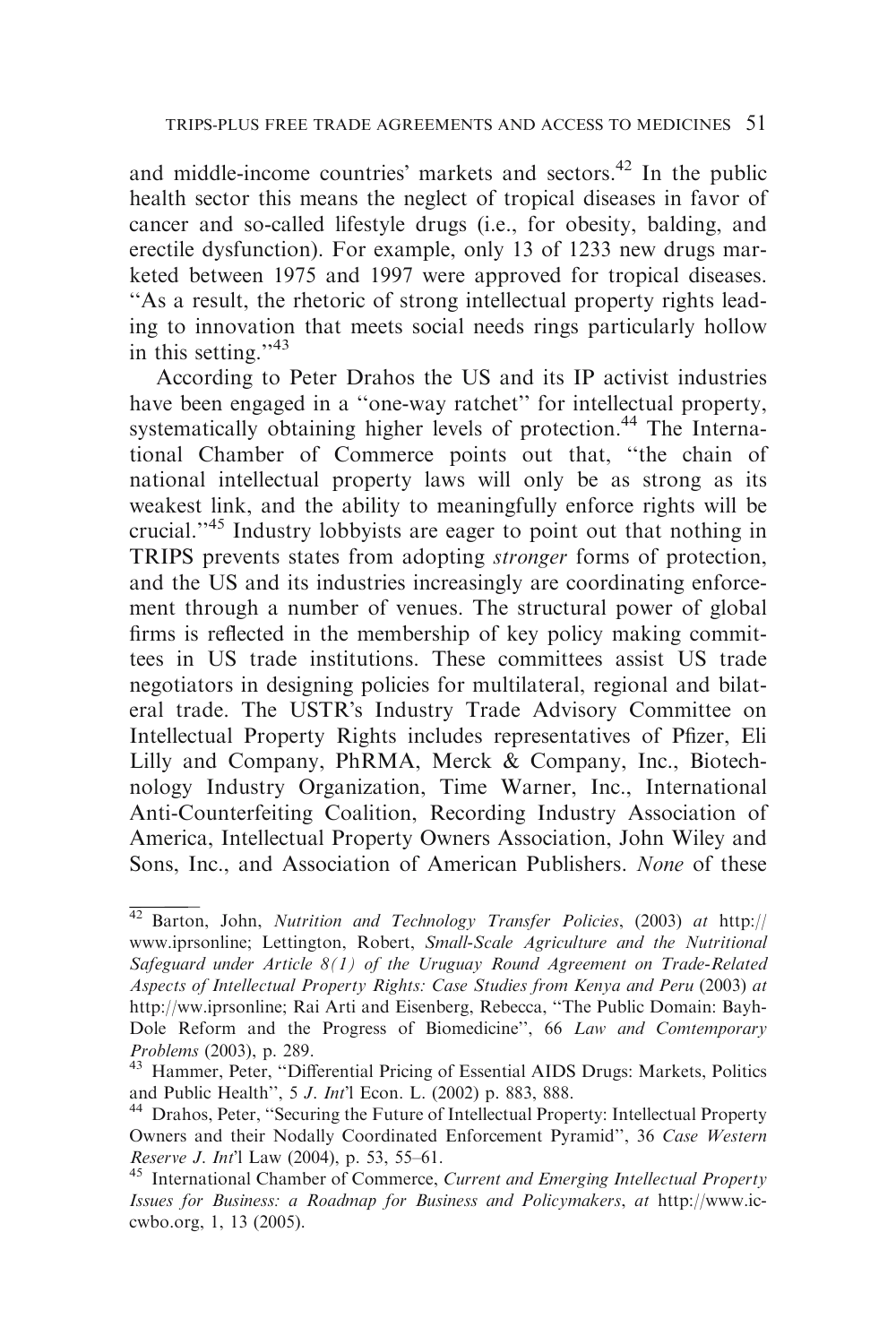and middle-income countries' markets and sectors. $42$  In the public health sector this means the neglect of tropical diseases in favor of cancer and so-called lifestyle drugs (i.e., for obesity, balding, and erectile dysfunction). For example, only 13 of 1233 new drugs marketed between 1975 and 1997 were approved for tropical diseases. ''As a result, the rhetoric of strong intellectual property rights leading to innovation that meets social needs rings particularly hollow in this setting."<sup>43</sup>

According to Peter Drahos the US and its IP activist industries have been engaged in a ''one-way ratchet'' for intellectual property, systematically obtaining higher levels of protection.<sup>44</sup> The International Chamber of Commerce points out that, ''the chain of national intellectual property laws will only be as strong as its weakest link, and the ability to meaningfully enforce rights will be crucial.''<sup>45</sup> Industry lobbyists are eager to point out that nothing in TRIPS prevents states from adopting stronger forms of protection, and the US and its industries increasingly are coordinating enforcement through a number of venues. The structural power of global firms is reflected in the membership of key policy making committees in US trade institutions. These committees assist US trade negotiators in designing policies for multilateral, regional and bilateral trade. The USTR's Industry Trade Advisory Committee on Intellectual Property Rights includes representatives of Pfizer, Eli Lilly and Company, PhRMA, Merck & Company, Inc., Biotechnology Industry Organization, Time Warner, Inc., International Anti-Counterfeiting Coalition, Recording Industry Association of America, Intellectual Property Owners Association, John Wiley and Sons, Inc., and Association of American Publishers. None of these

<sup>&</sup>lt;sup>42</sup> Barton, John, Nutrition and Technology Transfer Policies, (2003) at http:// www.iprsonline; Lettington, Robert, Small-Scale Agriculture and the Nutritional Safeguard under Article 8(1) of the Uruguay Round Agreement on Trade-Related Aspects of Intellectual Property Rights: Case Studies from Kenya and Peru (2003) at http://ww.iprsonline; Rai Arti and Eisenberg, Rebecca, ''The Public Domain: Bayh-Dole Reform and the Progress of Biomedicine'', 66 Law and Comtemporary

Problems (2003), p. 289.<br><sup>43</sup> Hammer, Peter, "Differential Pricing of Essential AIDS Drugs: Markets, Politics and Public Health", 5 J. Int'l Econ. L. (2002) p. 883, 888.

<sup>&</sup>lt;sup>44</sup> Drahos, Peter, "Securing the Future of Intellectual Property: Intellectual Property Owners and their Nodally Coordinated Enforcement Pyramid'', 36 Case Western Reserve J. Int'l Law (2004), p. 53, 55–61.<br><sup>45</sup> International Chamber of Commerce, *Current and Emerging Intellectual Property* 

Issues for Business: a Roadmap for Business and Policymakers, at http://www.iccwbo.org, 1, 13 (2005).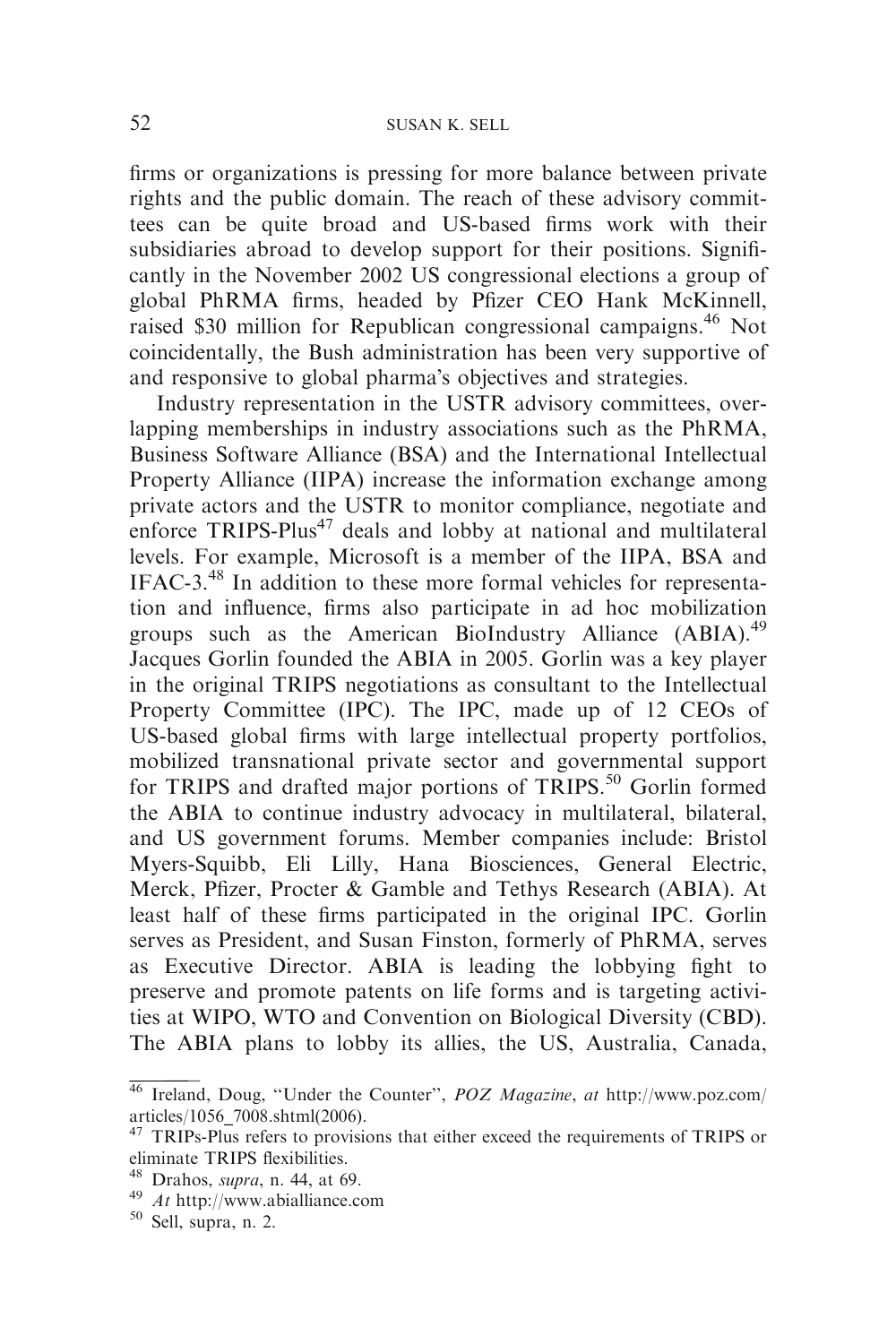firms or organizations is pressing for more balance between private rights and the public domain. The reach of these advisory committees can be quite broad and US-based firms work with their subsidiaries abroad to develop support for their positions. Significantly in the November 2002 US congressional elections a group of global PhRMA firms, headed by Pfizer CEO Hank McKinnell, raised \$30 million for Republican congressional campaigns.<sup>46</sup> Not coincidentally, the Bush administration has been very supportive of and responsive to global pharma's objectives and strategies.

Industry representation in the USTR advisory committees, overlapping memberships in industry associations such as the PhRMA, Business Software Alliance (BSA) and the International Intellectual Property Alliance (IIPA) increase the information exchange among private actors and the USTR to monitor compliance, negotiate and enforce  $TRIPS-Plus^{47}$  deals and lobby at national and multilateral levels. For example, Microsoft is a member of the IIPA, BSA and IFAC-3.48 In addition to these more formal vehicles for representation and influence, firms also participate in ad hoc mobilization groups such as the American BioIndustry Alliance (ABIA).<sup>49</sup> Jacques Gorlin founded the ABIA in 2005. Gorlin was a key player in the original TRIPS negotiations as consultant to the Intellectual Property Committee (IPC). The IPC, made up of 12 CEOs of US-based global firms with large intellectual property portfolios, mobilized transnational private sector and governmental support for TRIPS and drafted major portions of TRIPS.<sup>50</sup> Gorlin formed the ABIA to continue industry advocacy in multilateral, bilateral, and US government forums. Member companies include: Bristol Myers-Squibb, Eli Lilly, Hana Biosciences, General Electric, Merck, Pfizer, Procter & Gamble and Tethys Research (ABIA). At least half of these firms participated in the original IPC. Gorlin serves as President, and Susan Finston, formerly of PhRMA, serves as Executive Director. ABIA is leading the lobbying fight to preserve and promote patents on life forms and is targeting activities at WIPO, WTO and Convention on Biological Diversity (CBD). The ABIA plans to lobby its allies, the US, Australia, Canada,

<sup>46</sup> Ireland, Doug, ''Under the Counter'', POZ Magazine, at http://www.poz.com/ articles/1056\_7008.shtml(2006).

<sup>&</sup>lt;sup>47</sup> TRIPs-Plus refers to provisions that either exceed the requirements of TRIPS or eliminate TRIPS flexibilities.<br><sup>48</sup> Drahos, *supra*, n. 44, at 69.

<sup>&</sup>lt;sup>49</sup> *At* http://www.abialliance.com Sell, supra, n. 2.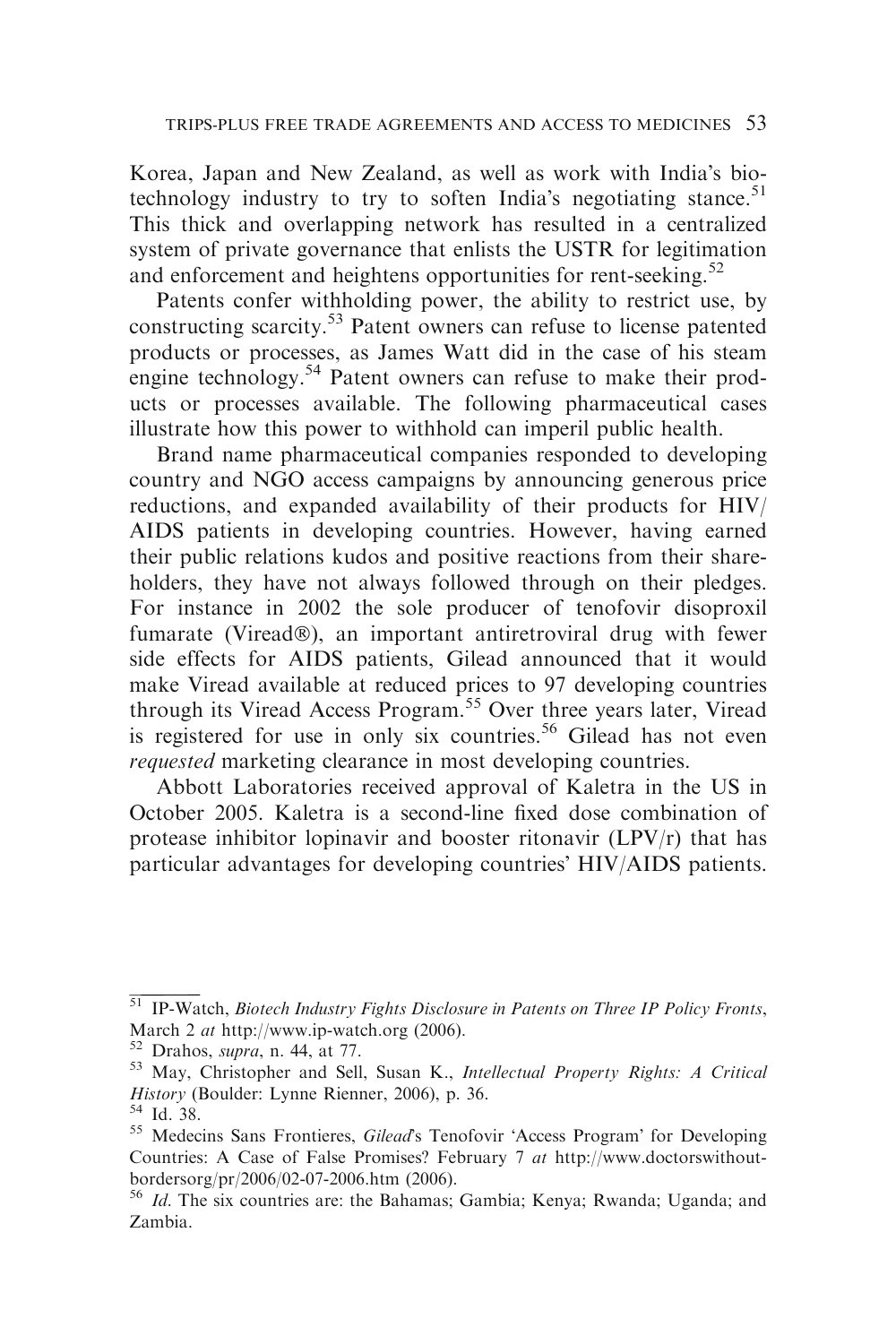Korea, Japan and New Zealand, as well as work with India's biotechnology industry to try to soften India's negotiating stance.<sup>51</sup> This thick and overlapping network has resulted in a centralized system of private governance that enlists the USTR for legitimation and enforcement and heightens opportunities for rent-seeking.<sup>52</sup>

Patents confer withholding power, the ability to restrict use, by constructing scarcity.53 Patent owners can refuse to license patented products or processes, as James Watt did in the case of his steam engine technology.<sup>54</sup> Patent owners can refuse to make their products or processes available. The following pharmaceutical cases illustrate how this power to withhold can imperil public health.

Brand name pharmaceutical companies responded to developing country and NGO access campaigns by announcing generous price reductions, and expanded availability of their products for HIV/ AIDS patients in developing countries. However, having earned their public relations kudos and positive reactions from their shareholders, they have not always followed through on their pledges. For instance in 2002 the sole producer of tenofovir disoproxil fumarate (Viread®), an important antiretroviral drug with fewer side effects for AIDS patients, Gilead announced that it would make Viread available at reduced prices to 97 developing countries through its Viread Access Program.<sup>55</sup> Over three years later, Viread is registered for use in only six countries.<sup>56</sup> Gilead has not even requested marketing clearance in most developing countries.

Abbott Laboratories received approval of Kaletra in the US in October 2005. Kaletra is a second-line fixed dose combination of protease inhibitor lopinavir and booster ritonavir (LPV/r) that has particular advantages for developing countries' HIV/AIDS patients.

 $51$  IP-Watch, Biotech Industry Fights Disclosure in Patents on Three IP Policy Fronts, March 2 *at* http://www.ip-watch.org (2006).<br>
<sup>52</sup> Drahos, *supra*, n. 44, at 77.<br>
<sup>53</sup> May, Christopher and Sell, Susan K., *Intellectual Property Rights: A Critical* 

History (Boulder: Lynne Rienner, 2006), p. 36.<br><sup>54</sup> Id. 38.<br><sup>55</sup> Medecins Sans Frontieres, *Gilead*'s Tenofovir 'Access Program' for Developing

Countries: A Case of False Promises? February 7 at http://www.doctorswithoutbordersorg/pr/2006/02-07-2006.htm (2006).

<sup>&</sup>lt;sup>56</sup> Id. The six countries are: the Bahamas; Gambia; Kenya; Rwanda; Uganda; and Zambia.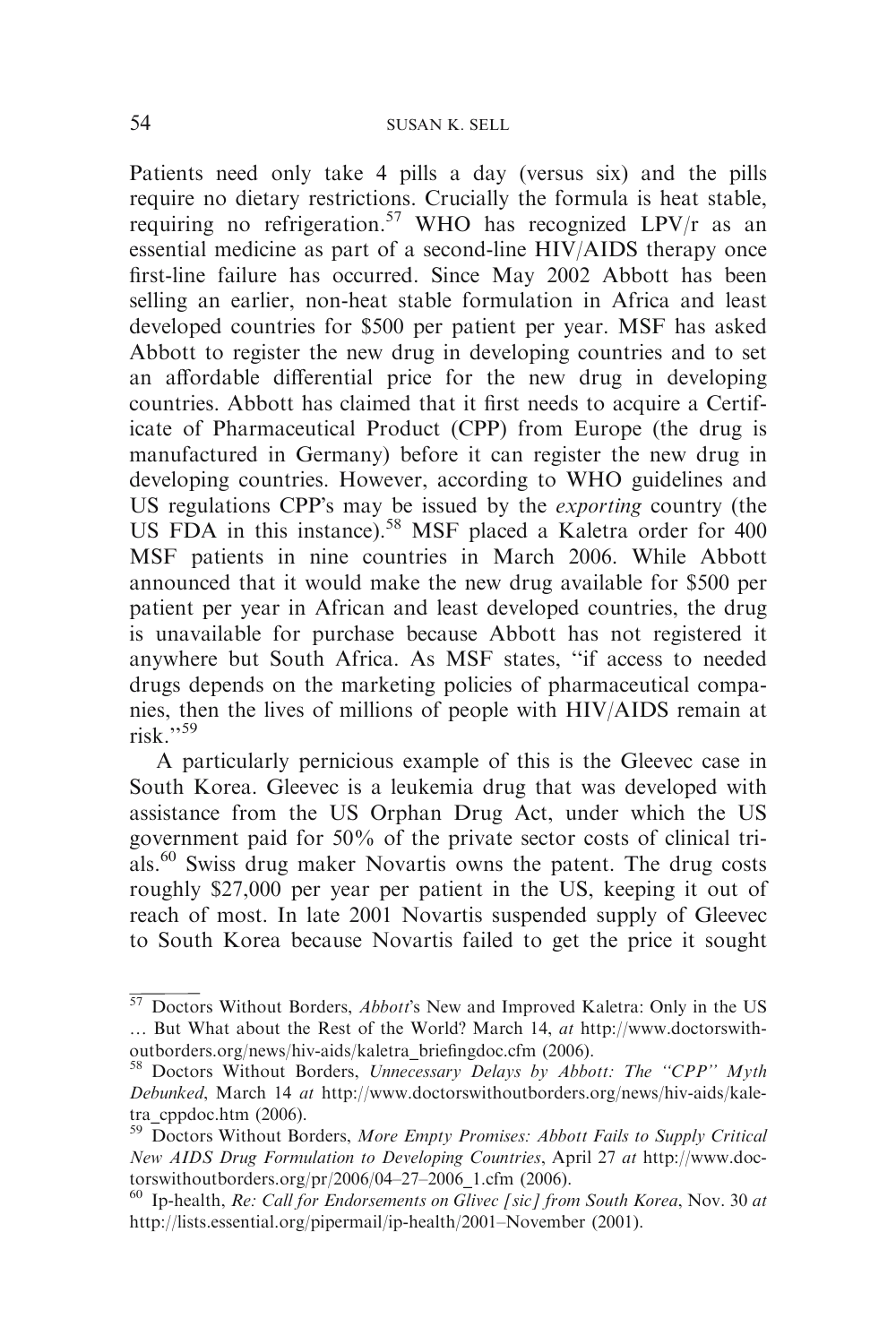Patients need only take 4 pills a day (versus six) and the pills require no dietary restrictions. Crucially the formula is heat stable, requiring no refrigeration.<sup>57</sup> WHO has recognized LPV/r as an essential medicine as part of a second-line HIV/AIDS therapy once first-line failure has occurred. Since May 2002 Abbott has been selling an earlier, non-heat stable formulation in Africa and least developed countries for \$500 per patient per year. MSF has asked Abbott to register the new drug in developing countries and to set an affordable differential price for the new drug in developing countries. Abbott has claimed that it first needs to acquire a Certificate of Pharmaceutical Product (CPP) from Europe (the drug is manufactured in Germany) before it can register the new drug in developing countries. However, according to WHO guidelines and US regulations CPP's may be issued by the *exporting* country (the US FDA in this instance).<sup>58</sup> MSF placed a Kaletra order for 400 MSF patients in nine countries in March 2006. While Abbott announced that it would make the new drug available for \$500 per patient per year in African and least developed countries, the drug is unavailable for purchase because Abbott has not registered it anywhere but South Africa. As MSF states, ''if access to needed drugs depends on the marketing policies of pharmaceutical companies, then the lives of millions of people with HIV/AIDS remain at risk $^{1,59}$ 

A particularly pernicious example of this is the Gleevec case in South Korea. Gleevec is a leukemia drug that was developed with assistance from the US Orphan Drug Act, under which the US government paid for 50% of the private sector costs of clinical trials.<sup>60</sup> Swiss drug maker Novartis owns the patent. The drug costs roughly \$27,000 per year per patient in the US, keeping it out of reach of most. In late 2001 Novartis suspended supply of Gleevec to South Korea because Novartis failed to get the price it sought

 $\frac{57}{57}$  Doctors Without Borders, *Abbott'*s New and Improved Kaletra: Only in the US … But What about the Rest of the World? March 14, at http://www.doctorswithoutborders.org/news/hiv-aids/kaletra\_briefingdoc.cfm (2006).

<sup>&</sup>lt;sup>58</sup> Doctors Without Borders, Unnecessary Delays by Abbott: The "CPP" Myth Debunked, March 14 at http://www.doctorswithoutborders.org/news/hiv-aids/kaletra\_cppdoc.htm (2006).

<sup>&</sup>lt;sup>59</sup> Doctors Without Borders, More Empty Promises: Abbott Fails to Supply Critical New AIDS Drug Formulation to Developing Countries, April 27 at http://www.doctorswithoutborders.org/pr/2006/04–27–2006\_1.cfm (2006).

 $^{60}$  Ip-health, *Re: Call for Endorsements on Glivec [sic] from South Korea*, Nov. 30 at http://lists.essential.org/pipermail/ip-health/2001–November (2001).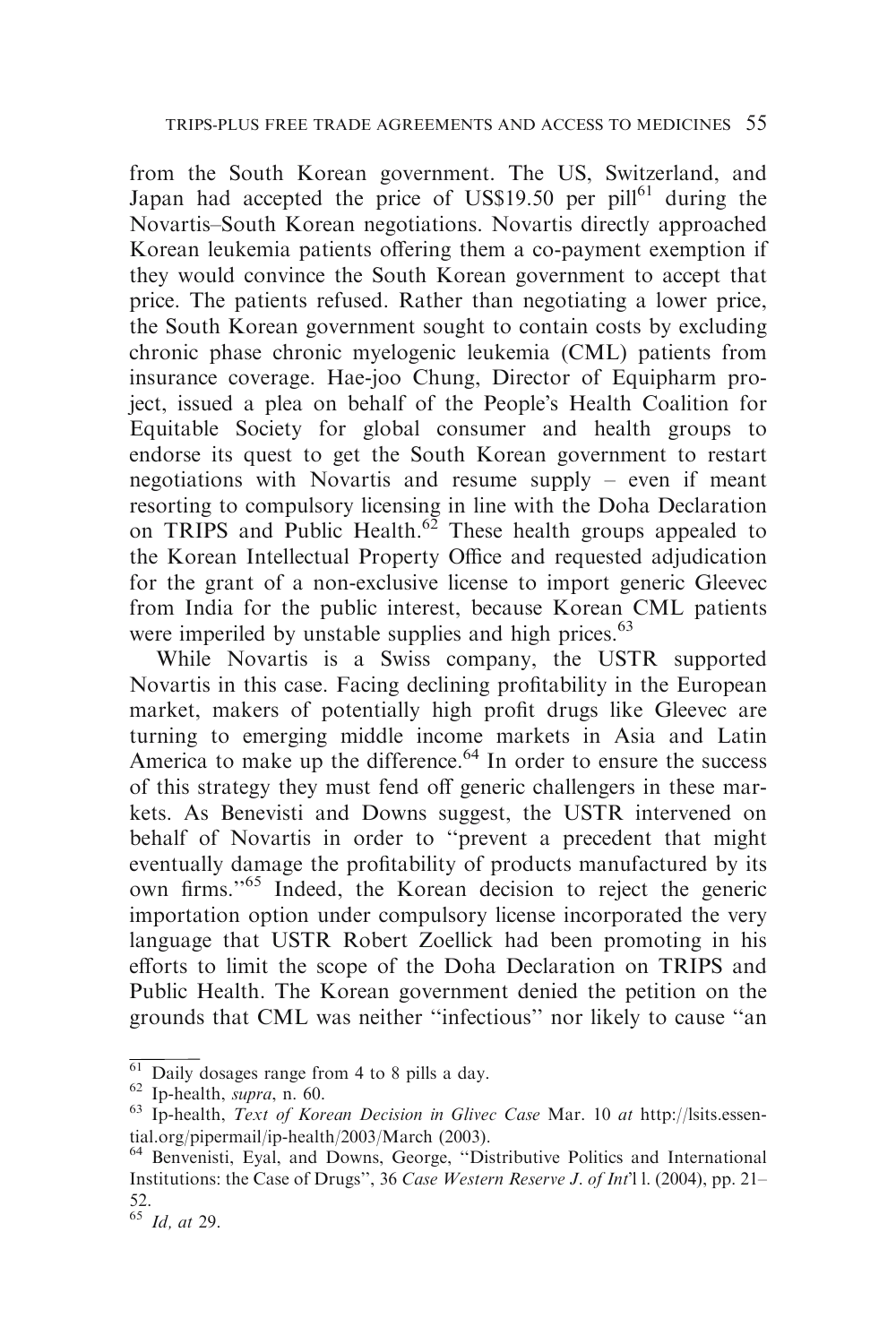from the South Korean government. The US, Switzerland, and Japan had accepted the price of US\$19.50 per pill $^{61}$  during the Novartis–South Korean negotiations. Novartis directly approached Korean leukemia patients offering them a co-payment exemption if they would convince the South Korean government to accept that price. The patients refused. Rather than negotiating a lower price, the South Korean government sought to contain costs by excluding chronic phase chronic myelogenic leukemia (CML) patients from insurance coverage. Hae-joo Chung, Director of Equipharm project, issued a plea on behalf of the People's Health Coalition for Equitable Society for global consumer and health groups to endorse its quest to get the South Korean government to restart negotiations with Novartis and resume supply – even if meant resorting to compulsory licensing in line with the Doha Declaration on TRIPS and Public Health.<sup>62</sup> These health groups appealed to the Korean Intellectual Property Office and requested adjudication for the grant of a non-exclusive license to import generic Gleevec from India for the public interest, because Korean CML patients were imperiled by unstable supplies and high prices.<sup>63</sup>

While Novartis is a Swiss company, the USTR supported Novartis in this case. Facing declining profitability in the European market, makers of potentially high profit drugs like Gleevec are turning to emerging middle income markets in Asia and Latin America to make up the difference. $64$  In order to ensure the success of this strategy they must fend off generic challengers in these markets. As Benevisti and Downs suggest, the USTR intervened on behalf of Novartis in order to ''prevent a precedent that might eventually damage the profitability of products manufactured by its own firms.''65 Indeed, the Korean decision to reject the generic importation option under compulsory license incorporated the very language that USTR Robert Zoellick had been promoting in his efforts to limit the scope of the Doha Declaration on TRIPS and Public Health. The Korean government denied the petition on the grounds that CML was neither ''infectious'' nor likely to cause ''an

<sup>&</sup>lt;sup>61</sup> Daily dosages range from 4 to 8 pills a day.<br><sup>62</sup> Ip-health, *supra*, n. 60.<br><sup>63</sup> Ip-health, *Text of Korean Decision in Glivec Case* Mar. 10 *at* http://lsits.essential.org/pipermail/ip-health/2003/March (2003).

<sup>64</sup> Benvenisti, Eyal, and Downs, George, ''Distributive Politics and International Institutions: the Case of Drugs", 36 Case Western Reserve J. of Int'l l. (2004), pp. 21– 52.

 $65$  *Id, at* 29.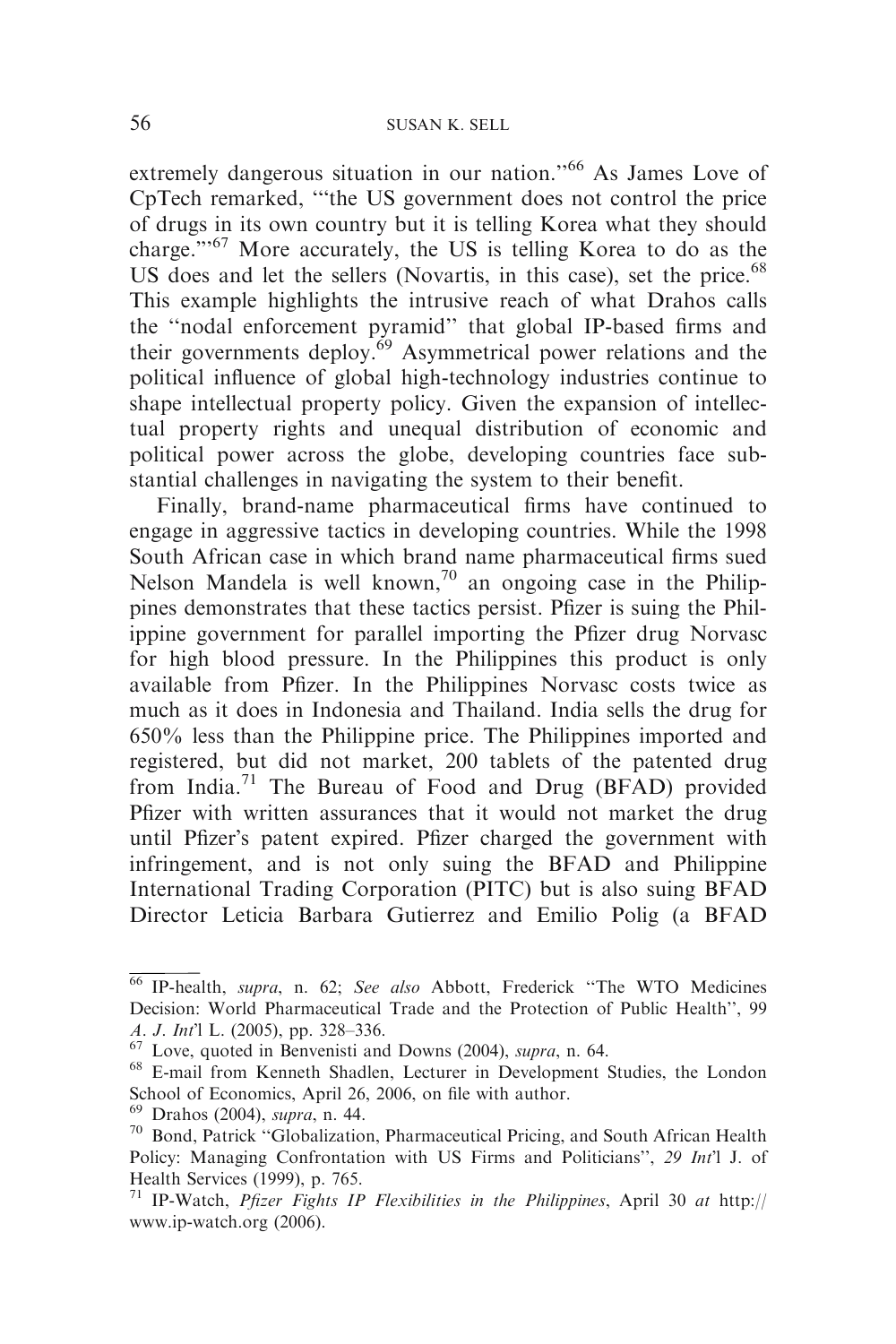extremely dangerous situation in our nation."<sup>66</sup> As James Love of CpTech remarked, "the US government does not control the price of drugs in its own country but it is telling Korea what they should charge.''<sup>67</sup> More accurately, the US is telling Korea to do as the US does and let the sellers (Novartis, in this case), set the price.<sup>68</sup> This example highlights the intrusive reach of what Drahos calls the ''nodal enforcement pyramid'' that global IP-based firms and their governments deploy.69 Asymmetrical power relations and the political influence of global high-technology industries continue to shape intellectual property policy. Given the expansion of intellectual property rights and unequal distribution of economic and political power across the globe, developing countries face substantial challenges in navigating the system to their benefit.

Finally, brand-name pharmaceutical firms have continued to engage in aggressive tactics in developing countries. While the 1998 South African case in which brand name pharmaceutical firms sued Nelson Mandela is well known,<sup>70</sup> an ongoing case in the Philippines demonstrates that these tactics persist. Pfizer is suing the Philippine government for parallel importing the Pfizer drug Norvasc for high blood pressure. In the Philippines this product is only available from Pfizer. In the Philippines Norvasc costs twice as much as it does in Indonesia and Thailand. India sells the drug for 650% less than the Philippine price. The Philippines imported and registered, but did not market, 200 tablets of the patented drug from India.<sup>71</sup> The Bureau of Food and Drug (BFAD) provided Pfizer with written assurances that it would not market the drug until Pfizer's patent expired. Pfizer charged the government with infringement, and is not only suing the BFAD and Philippine International Trading Corporation (PITC) but is also suing BFAD Director Leticia Barbara Gutierrez and Emilio Polig (a BFAD

 $\overline{66}$  IP-health, supra, n. 62; See also Abbott, Frederick "The WTO Medicines Decision: World Pharmaceutical Trade and the Protection of Public Health'', 99 *A. J. Int*'l L. (2005), pp. 328–336.

 $^{67}$  Love, quoted in Benvenisti and Downs (2004), *supra*, n. 64. 68 E-mail from Kenneth Shadlen, Lecturer in Development Studies, the London School of Economics, April 26, 2006, on file with author.<br><sup>69</sup> Drahos (2004), *supra*, n. 44.

<sup>&</sup>lt;sup>70</sup> Bond, Patrick "Globalization, Pharmaceutical Pricing, and South African Health Policy: Managing Confrontation with US Firms and Politicians", 29 Int'l J. of Health Services (1999), p. 765.

<sup>&</sup>lt;sup>71</sup> IP-Watch, *Pfizer Fights IP Flexibilities in the Philippines*, April 30 at http:// www.ip-watch.org (2006).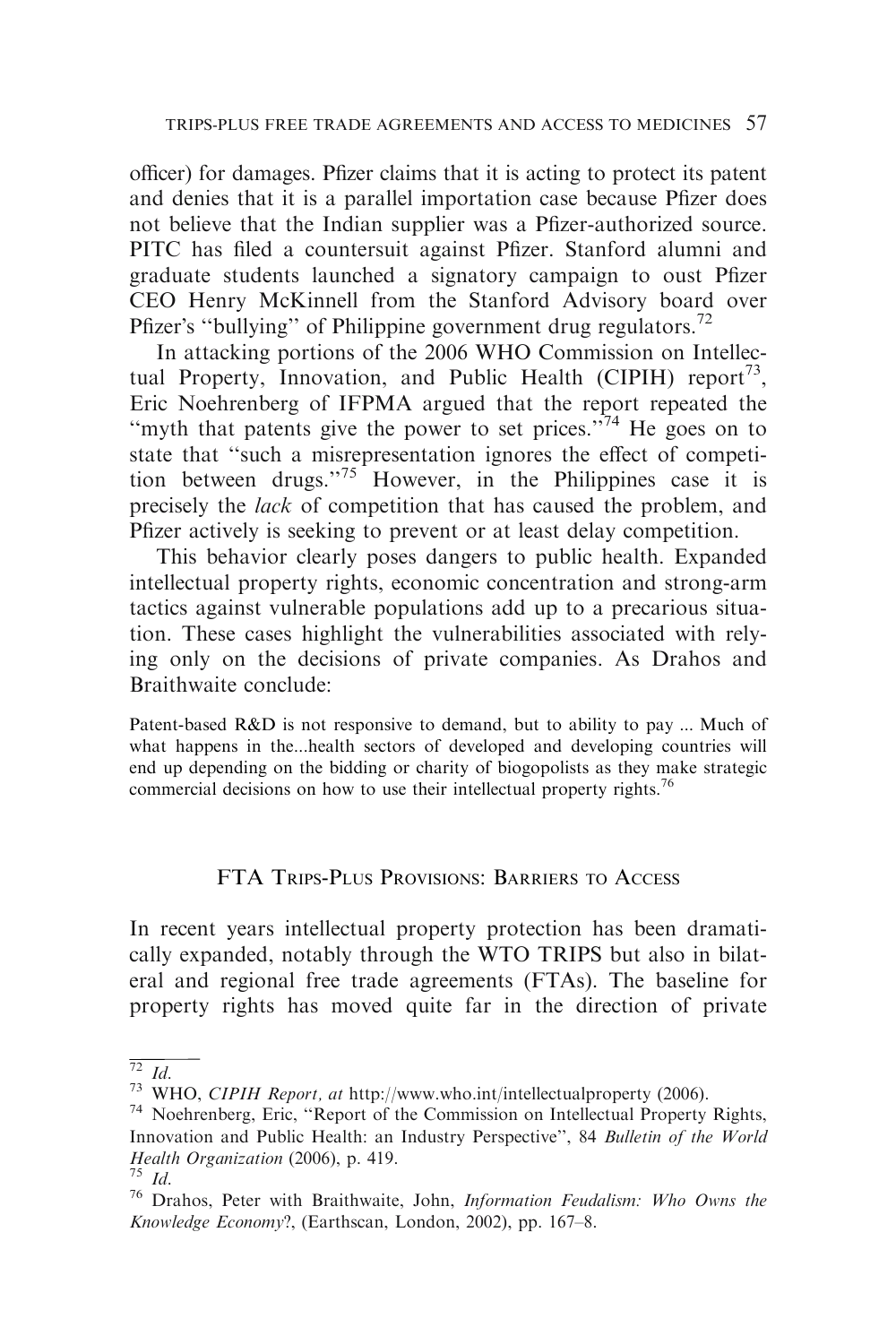officer) for damages. Pfizer claims that it is acting to protect its patent and denies that it is a parallel importation case because Pfizer does not believe that the Indian supplier was a Pfizer-authorized source. PITC has filed a countersuit against Pfizer. Stanford alumni and graduate students launched a signatory campaign to oust Pfizer CEO Henry McKinnell from the Stanford Advisory board over Pfizer's "bullying" of Philippine government drug regulators.<sup>72</sup>

In attacking portions of the 2006 WHO Commission on Intellectual Property, Innovation, and Public Health (CIPIH) report<sup>73</sup>, Eric Noehrenberg of IFPMA argued that the report repeated the "myth that patents give the power to set prices."<sup>74</sup> He goes on to state that ''such a misrepresentation ignores the effect of competition between drugs."<sup>75</sup> However, in the Philippines case it is precisely the lack of competition that has caused the problem, and Pfizer actively is seeking to prevent or at least delay competition.

This behavior clearly poses dangers to public health. Expanded intellectual property rights, economic concentration and strong-arm tactics against vulnerable populations add up to a precarious situation. These cases highlight the vulnerabilities associated with relying only on the decisions of private companies. As Drahos and Braithwaite conclude:

Patent-based R&D is not responsive to demand, but to ability to pay ... Much of what happens in the...health sectors of developed and developing countries will end up depending on the bidding or charity of biogopolists as they make strategic commercial decisions on how to use their intellectual property rights.<sup>76</sup>

## FTA TRIPS-PLUS PROVISIONS: BARRIERS TO ACCESS

In recent years intellectual property protection has been dramatically expanded, notably through the WTO TRIPS but also in bilateral and regional free trade agreements (FTAs). The baseline for property rights has moved quite far in the direction of private

 $\frac{72}{72}$  Id.<br><sup>73</sup> WHO, *CIPIH Report, at* http://www.who.int/intellectual property (2006).<br><sup>74</sup> Noehrenberg, Eric, "Report of the Commission on Intellectual Property Rights,

Innovation and Public Health: an Industry Perspective'', 84 Bulletin of the World Health Organization (2006), p. 419.<br><sup>75</sup> Id.<br><sup>76</sup> Drahos, Peter with Braithwaite, John, *Information Feudalism: Who Owns the* 

Knowledge Economy?, (Earthscan, London, 2002), pp. 167–8.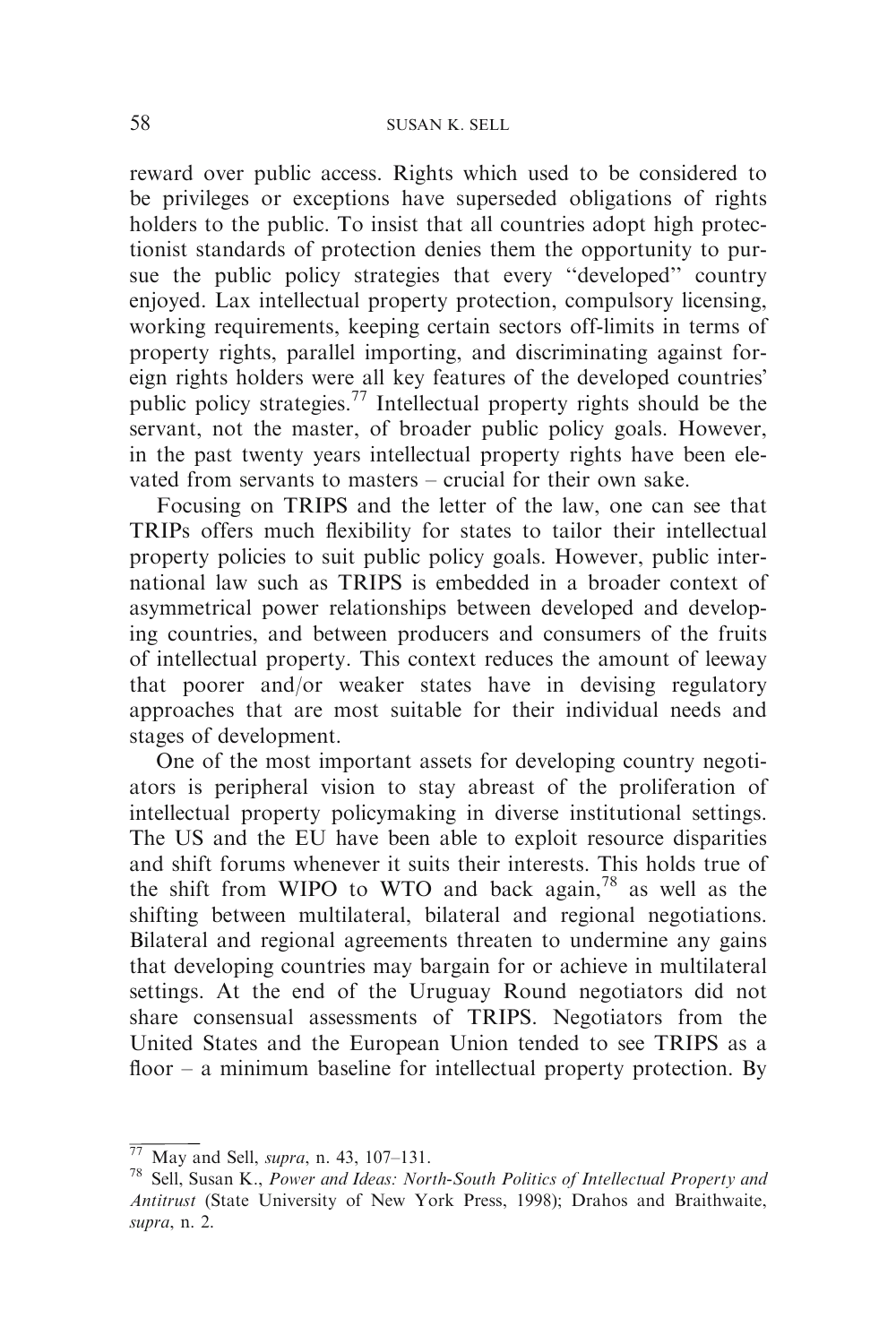reward over public access. Rights which used to be considered to be privileges or exceptions have superseded obligations of rights holders to the public. To insist that all countries adopt high protectionist standards of protection denies them the opportunity to pursue the public policy strategies that every ''developed'' country enjoyed. Lax intellectual property protection, compulsory licensing, working requirements, keeping certain sectors off-limits in terms of property rights, parallel importing, and discriminating against foreign rights holders were all key features of the developed countries public policy strategies.77 Intellectual property rights should be the servant, not the master, of broader public policy goals. However, in the past twenty years intellectual property rights have been elevated from servants to masters – crucial for their own sake.

Focusing on TRIPS and the letter of the law, one can see that TRIPs offers much flexibility for states to tailor their intellectual property policies to suit public policy goals. However, public international law such as TRIPS is embedded in a broader context of asymmetrical power relationships between developed and developing countries, and between producers and consumers of the fruits of intellectual property. This context reduces the amount of leeway that poorer and/or weaker states have in devising regulatory approaches that are most suitable for their individual needs and stages of development.

One of the most important assets for developing country negotiators is peripheral vision to stay abreast of the proliferation of intellectual property policymaking in diverse institutional settings. The US and the EU have been able to exploit resource disparities and shift forums whenever it suits their interests. This holds true of the shift from WIPO to WTO and back again,  $78$  as well as the shifting between multilateral, bilateral and regional negotiations. Bilateral and regional agreements threaten to undermine any gains that developing countries may bargain for or achieve in multilateral settings. At the end of the Uruguay Round negotiators did not share consensual assessments of TRIPS. Negotiators from the United States and the European Union tended to see TRIPS as a floor – a minimum baseline for intellectual property protection. By

 $\frac{77}{77}$  May and Sell, *supra*, n. 43, 107–131.<br><sup>78</sup> Sell, Susan K., *Power and Ideas: North-South Politics of Intellectual Property and* Antitrust (State University of New York Press, 1998); Drahos and Braithwaite, supra, n. 2.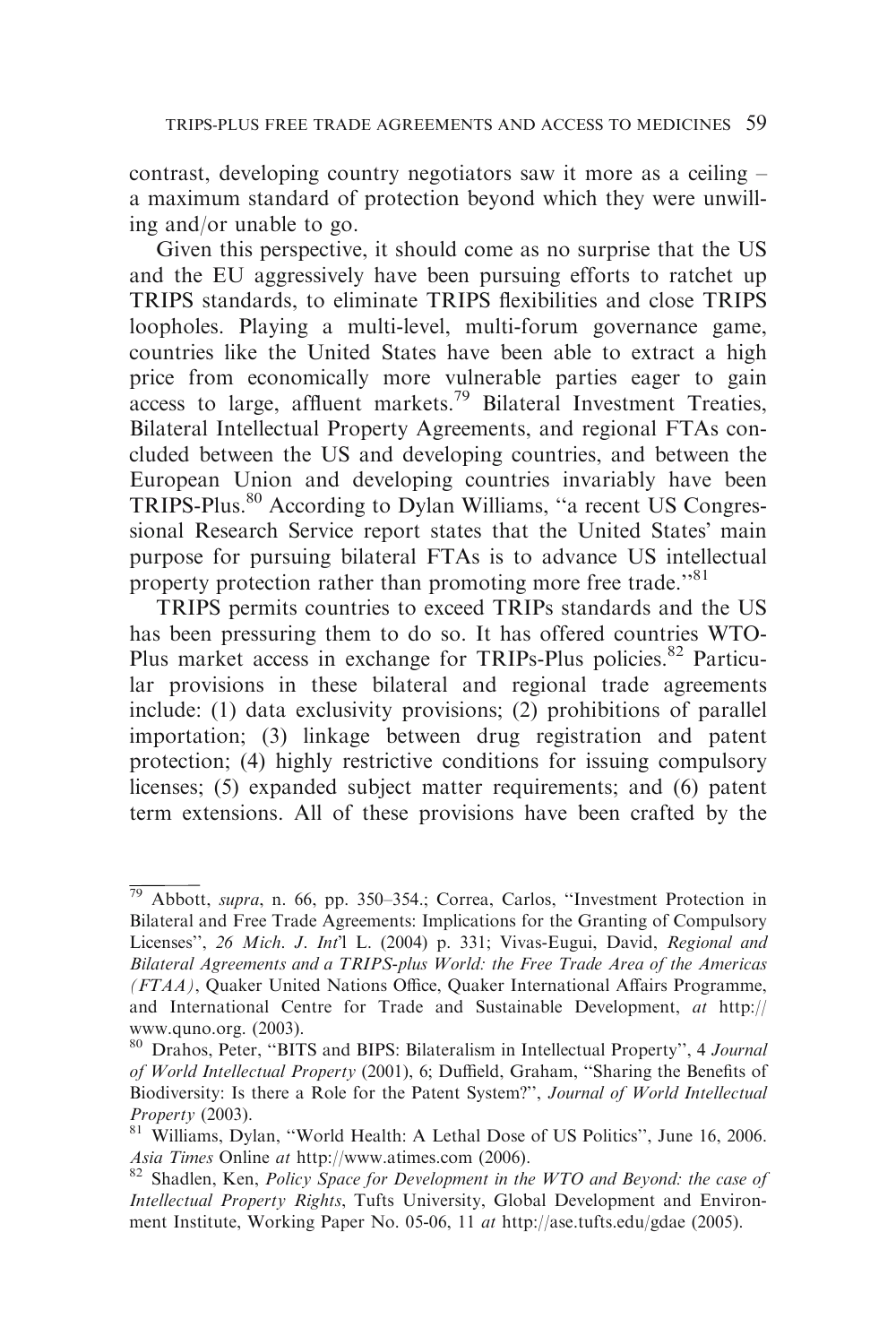contrast, developing country negotiators saw it more as a ceiling – a maximum standard of protection beyond which they were unwilling and/or unable to go.

Given this perspective, it should come as no surprise that the US and the EU aggressively have been pursuing efforts to ratchet up TRIPS standards, to eliminate TRIPS flexibilities and close TRIPS loopholes. Playing a multi-level, multi-forum governance game, countries like the United States have been able to extract a high price from economically more vulnerable parties eager to gain access to large, affluent markets.<sup>79</sup> Bilateral Investment Treaties, Bilateral Intellectual Property Agreements, and regional FTAs concluded between the US and developing countries, and between the European Union and developing countries invariably have been TRIPS-Plus.<sup>80</sup> According to Dylan Williams, "a recent US Congressional Research Service report states that the United States' main purpose for pursuing bilateral FTAs is to advance US intellectual property protection rather than promoting more free trade.<sup>881</sup>

TRIPS permits countries to exceed TRIPs standards and the US has been pressuring them to do so. It has offered countries WTO-Plus market access in exchange for TRIPs-Plus policies.<sup>82</sup> Particular provisions in these bilateral and regional trade agreements include: (1) data exclusivity provisions; (2) prohibitions of parallel importation; (3) linkage between drug registration and patent protection; (4) highly restrictive conditions for issuing compulsory licenses; (5) expanded subject matter requirements; and (6) patent term extensions. All of these provisions have been crafted by the

<sup>79</sup> Abbott, supra, n. 66, pp. 350–354.; Correa, Carlos, ''Investment Protection in Bilateral and Free Trade Agreements: Implications for the Granting of Compulsory Licenses", 26 Mich. J. Int'l L. (2004) p. 331; Vivas-Eugui, David, Regional and Bilateral Agreements and a TRIPS-plus World: the Free Trade Area of the Americas (FTAA), Quaker United Nations Office, Quaker International Affairs Programme, and International Centre for Trade and Sustainable Development, at http:// www.quno.org. (2003).

<sup>80</sup> Drahos, Peter, ''BITS and BIPS: Bilateralism in Intellectual Property'', 4 Journal of World Intellectual Property (2001), 6; Duffield, Graham, ''Sharing the Benefits of Biodiversity: Is there a Role for the Patent System?'', Journal of World Intellectual Property (2003).<br><sup>81</sup> Williams, Dylan, "World Health: A Lethal Dose of US Politics", June 16, 2006.

Asia Times Online at http://www.atimes.com (2006).<br><sup>82</sup> Shadlen, Ken, *Policy Space for Development in the WTO and Beyond: the case of* Intellectual Property Rights, Tufts University, Global Development and Environment Institute, Working Paper No. 05-06, 11 at http://ase.tufts.edu/gdae (2005).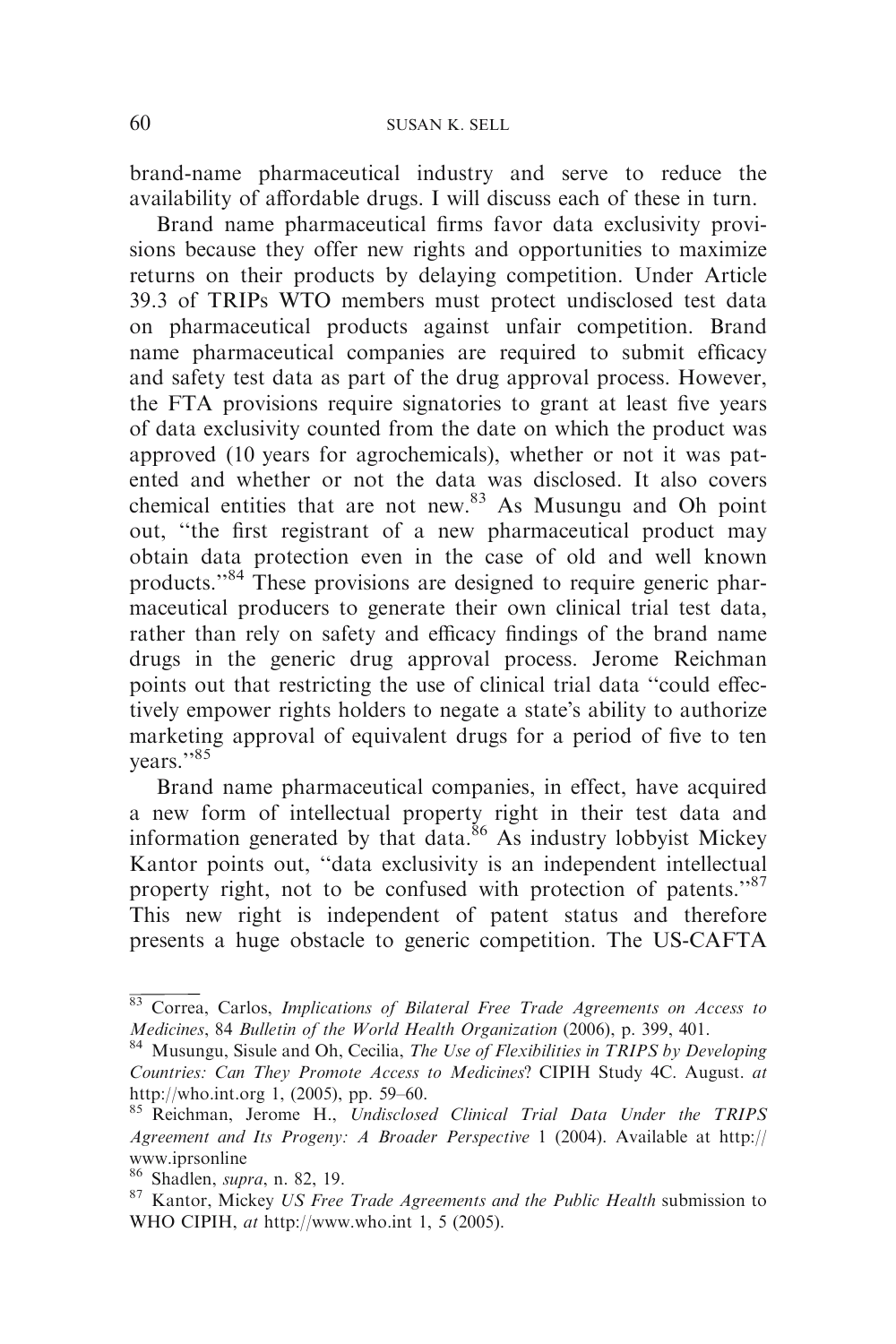brand-name pharmaceutical industry and serve to reduce the availability of affordable drugs. I will discuss each of these in turn.

Brand name pharmaceutical firms favor data exclusivity provisions because they offer new rights and opportunities to maximize returns on their products by delaying competition. Under Article 39.3 of TRIPs WTO members must protect undisclosed test data on pharmaceutical products against unfair competition. Brand name pharmaceutical companies are required to submit efficacy and safety test data as part of the drug approval process. However, the FTA provisions require signatories to grant at least five years of data exclusivity counted from the date on which the product was approved (10 years for agrochemicals), whether or not it was patented and whether or not the data was disclosed. It also covers chemical entities that are not new.83 As Musungu and Oh point out, ''the first registrant of a new pharmaceutical product may obtain data protection even in the case of old and well known products.''84 These provisions are designed to require generic pharmaceutical producers to generate their own clinical trial test data, rather than rely on safety and efficacy findings of the brand name drugs in the generic drug approval process. Jerome Reichman points out that restricting the use of clinical trial data ''could effectively empower rights holders to negate a state's ability to authorize marketing approval of equivalent drugs for a period of five to ten vears."<sup>85</sup>

Brand name pharmaceutical companies, in effect, have acquired a new form of intellectual property right in their test data and information generated by that data.<sup>86</sup> As industry lobbyist Mickey Kantor points out, ''data exclusivity is an independent intellectual property right, not to be confused with protection of patents."<sup>87</sup> This new right is independent of patent status and therefore presents a huge obstacle to generic competition. The US-CAFTA

 $83$  Correa, Carlos, Implications of Bilateral Free Trade Agreements on Access to Medicines, 84 Bulletin of the World Health Organization (2006), p. 399, 401.<br><sup>84</sup> Musungu, Sisule and Oh, Cecilia, *The Use of Flexibilities in TRIPS by Developing* 

Countries: Can They Promote Access to Medicines? CIPIH Study 4C. August. at http://who.int.org 1, (2005), pp. 59–60.

<sup>85</sup> Reichman, Jerome H., Undisclosed Clinical Trial Data Under the TRIPS Agreement and Its Progeny: A Broader Perspective 1 (2004). Available at http:// www.iprsonline<br><sup>86</sup> Shadlen, *supra*, n. 82, 19.

<sup>&</sup>lt;sup>87</sup> Kantor, Mickey US Free Trade Agreements and the Public Health submission to WHO CIPIH, at http://www.who.int 1, 5 (2005).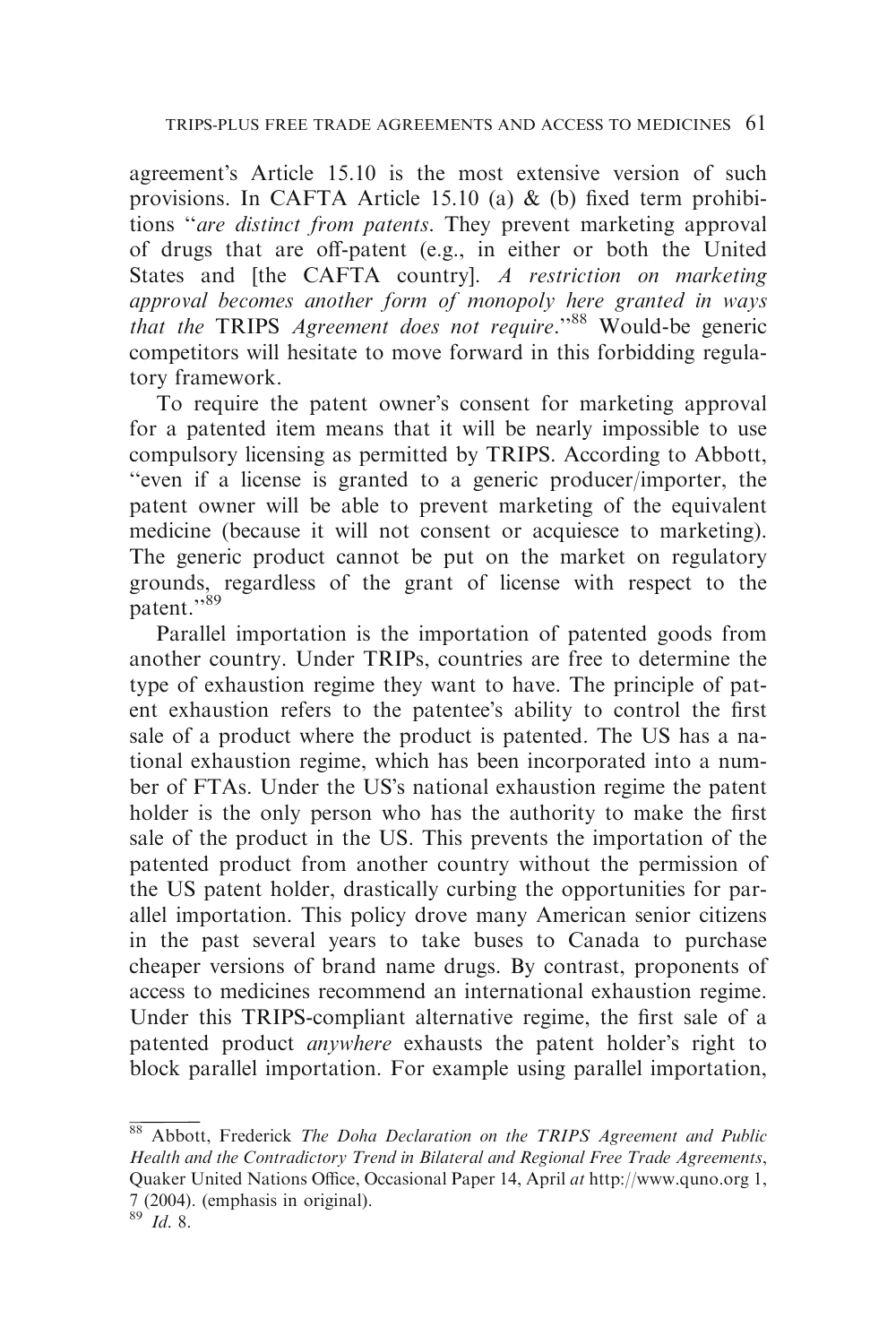agreement's Article 15.10 is the most extensive version of such provisions. In CAFTA Article 15.10 (a) & (b) fixed term prohibitions ''are distinct from patents. They prevent marketing approval of drugs that are off-patent (e.g., in either or both the United States and [the CAFTA country]. A restriction on marketing approval becomes another form of monopoly here granted in ways that the TRIPS Agreement does not require."<sup>88</sup> Would-be generic competitors will hesitate to move forward in this forbidding regulatory framework.

To require the patent owner's consent for marketing approval for a patented item means that it will be nearly impossible to use compulsory licensing as permitted by TRIPS. According to Abbott, ''even if a license is granted to a generic producer/importer, the patent owner will be able to prevent marketing of the equivalent medicine (because it will not consent or acquiesce to marketing). The generic product cannot be put on the market on regulatory grounds, regardless of the grant of license with respect to the patent."89

Parallel importation is the importation of patented goods from another country. Under TRIPs, countries are free to determine the type of exhaustion regime they want to have. The principle of patent exhaustion refers to the patentee's ability to control the first sale of a product where the product is patented. The US has a national exhaustion regime, which has been incorporated into a number of FTAs. Under the US's national exhaustion regime the patent holder is the only person who has the authority to make the first sale of the product in the US. This prevents the importation of the patented product from another country without the permission of the US patent holder, drastically curbing the opportunities for parallel importation. This policy drove many American senior citizens in the past several years to take buses to Canada to purchase cheaper versions of brand name drugs. By contrast, proponents of access to medicines recommend an international exhaustion regime. Under this TRIPS-compliant alternative regime, the first sale of a patented product *anywhere* exhausts the patent holder's right to block parallel importation. For example using parallel importation,

 $88$  Abbott, Frederick The Doha Declaration on the TRIPS Agreement and Public Health and the Contradictory Trend in Bilateral and Regional Free Trade Agreements, Quaker United Nations Office, Occasional Paper 14, April at http://www.quno.org 1, 7 (2004). (emphasis in original).

 $89$  Id. 8.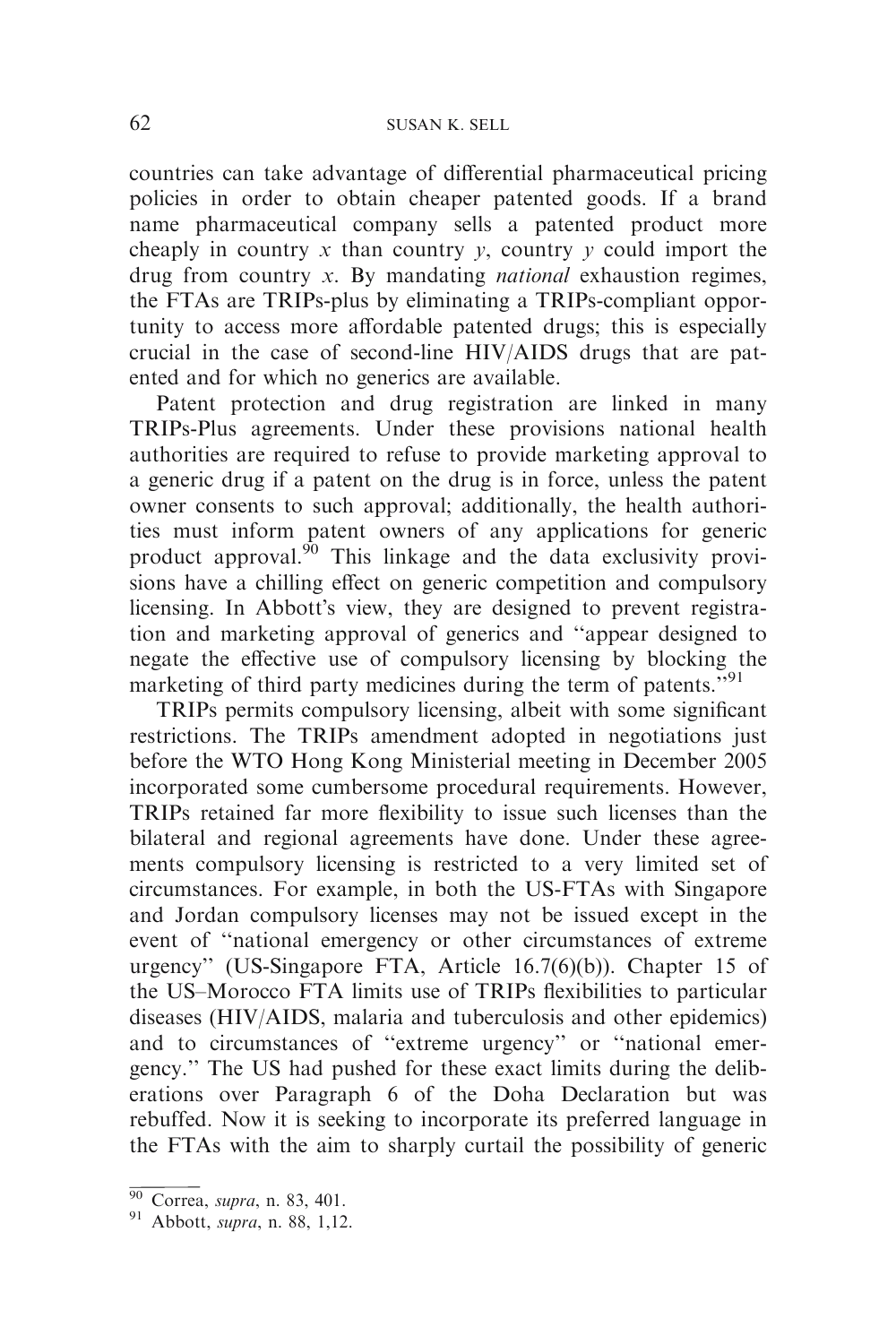countries can take advantage of differential pharmaceutical pricing policies in order to obtain cheaper patented goods. If a brand name pharmaceutical company sells a patented product more cheaply in country x than country  $y$ , country  $y$  could import the drug from country  $x$ . By mandating *national* exhaustion regimes, the FTAs are TRIPs-plus by eliminating a TRIPs-compliant opportunity to access more affordable patented drugs; this is especially crucial in the case of second-line HIV/AIDS drugs that are patented and for which no generics are available.

Patent protection and drug registration are linked in many TRIPs-Plus agreements. Under these provisions national health authorities are required to refuse to provide marketing approval to a generic drug if a patent on the drug is in force, unless the patent owner consents to such approval; additionally, the health authorities must inform patent owners of any applications for generic product approval. $\overset{\circ}{\mathfrak{g}}$  This linkage and the data exclusivity provisions have a chilling effect on generic competition and compulsory licensing. In Abbott's view, they are designed to prevent registration and marketing approval of generics and ''appear designed to negate the effective use of compulsory licensing by blocking the marketing of third party medicines during the term of patents.<sup>"91</sup>

TRIPs permits compulsory licensing, albeit with some significant restrictions. The TRIPs amendment adopted in negotiations just before the WTO Hong Kong Ministerial meeting in December 2005 incorporated some cumbersome procedural requirements. However, TRIPs retained far more flexibility to issue such licenses than the bilateral and regional agreements have done. Under these agreements compulsory licensing is restricted to a very limited set of circumstances. For example, in both the US-FTAs with Singapore and Jordan compulsory licenses may not be issued except in the event of ''national emergency or other circumstances of extreme urgency'' (US-Singapore FTA, Article 16.7(6)(b)). Chapter 15 of the US–Morocco FTA limits use of TRIPs flexibilities to particular diseases (HIV/AIDS, malaria and tuberculosis and other epidemics) and to circumstances of ''extreme urgency'' or ''national emergency.'' The US had pushed for these exact limits during the deliberations over Paragraph 6 of the Doha Declaration but was rebuffed. Now it is seeking to incorporate its preferred language in the FTAs with the aim to sharply curtail the possibility of generic

 $\frac{90}{90}$  Correa, *supra*, n. 83, 401.<br><sup>91</sup> Abbott, *supra*, n. 88, 1,12.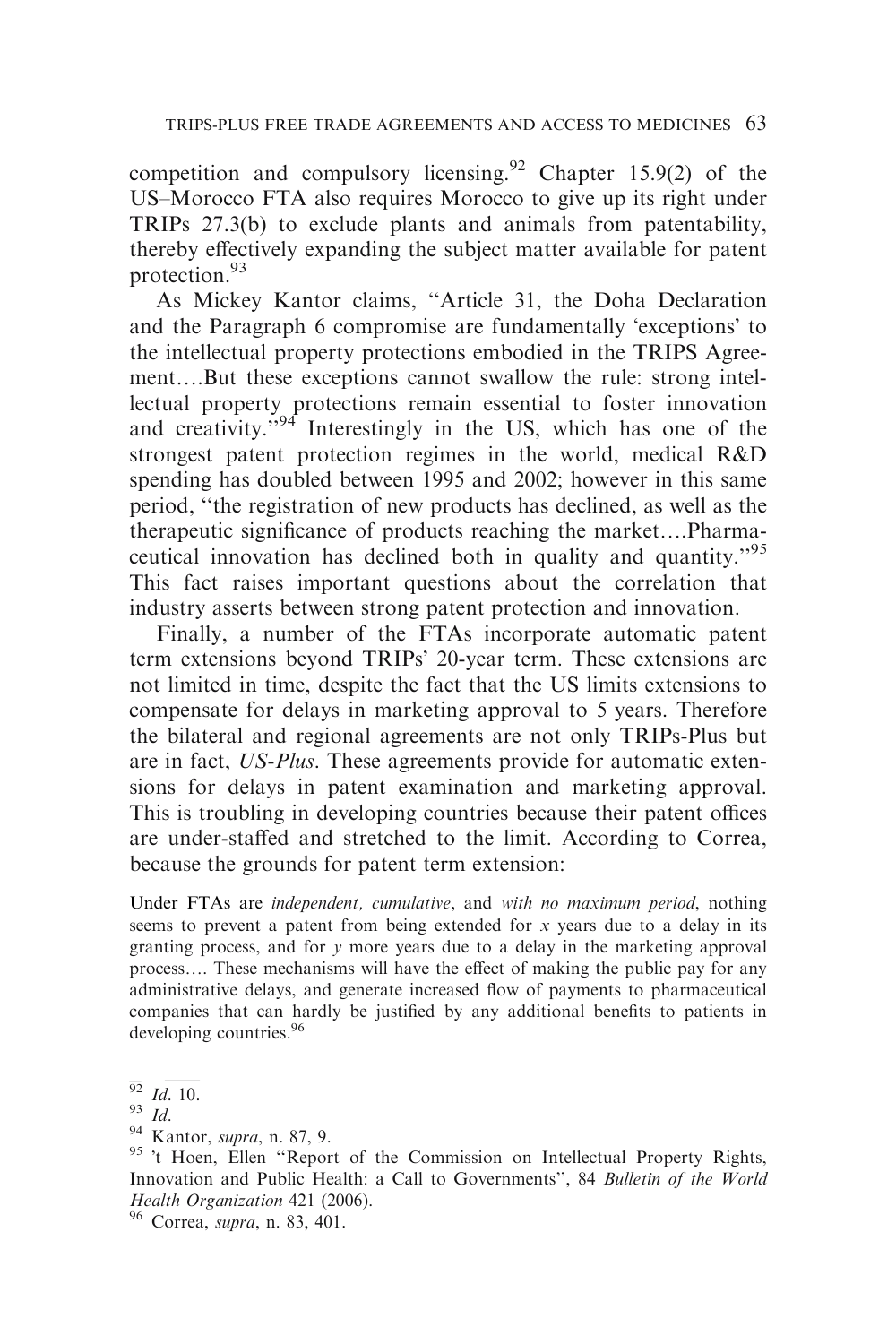competition and compulsory licensing.<sup>92</sup> Chapter 15.9(2) of the US–Morocco FTA also requires Morocco to give up its right under TRIPs 27.3(b) to exclude plants and animals from patentability, thereby effectively expanding the subject matter available for patent protection.93

As Mickey Kantor claims, ''Article 31, the Doha Declaration and the Paragraph 6 compromise are fundamentally 'exceptions' to the intellectual property protections embodied in the TRIPS Agreement….But these exceptions cannot swallow the rule: strong intellectual property protections remain essential to foster innovation and creativity."<sup>94</sup> Interestingly in the US, which has one of the strongest patent protection regimes in the world, medical R&D spending has doubled between 1995 and 2002; however in this same period, ''the registration of new products has declined, as well as the therapeutic significance of products reaching the market….Pharmaceutical innovation has declined both in quality and quantity.''<sup>95</sup> This fact raises important questions about the correlation that industry asserts between strong patent protection and innovation.

Finally, a number of the FTAs incorporate automatic patent term extensions beyond TRIPs' 20-year term. These extensions are not limited in time, despite the fact that the US limits extensions to compensate for delays in marketing approval to 5 years. Therefore the bilateral and regional agreements are not only TRIPs-Plus but are in fact, US-Plus. These agreements provide for automatic extensions for delays in patent examination and marketing approval. This is troubling in developing countries because their patent offices are under-staffed and stretched to the limit. According to Correa, because the grounds for patent term extension:

Under FTAs are independent, cumulative, and with no maximum period, nothing seems to prevent a patent from being extended for  $x$  years due to a delay in its granting process, and for  $\nu$  more years due to a delay in the marketing approval process…. These mechanisms will have the effect of making the public pay for any administrative delays, and generate increased flow of payments to pharmaceutical companies that can hardly be justified by any additional benefits to patients in developing countries.<sup>96</sup>

 $\frac{92 \text{ Id. 10}}{93 \text{ Id.}}$ <br>  $\frac{94 \text{ Kantor, supra, n. 87, 9}}{95 \text{ 't Hoen, Ellen "Report of the Commission on Intelligence Property Rights,}}$ Innovation and Public Health: a Call to Governments'', 84 Bulletin of the World Health Organization 421 (2006).<br><sup>96</sup> Correa, *supra*, n. 83, 401.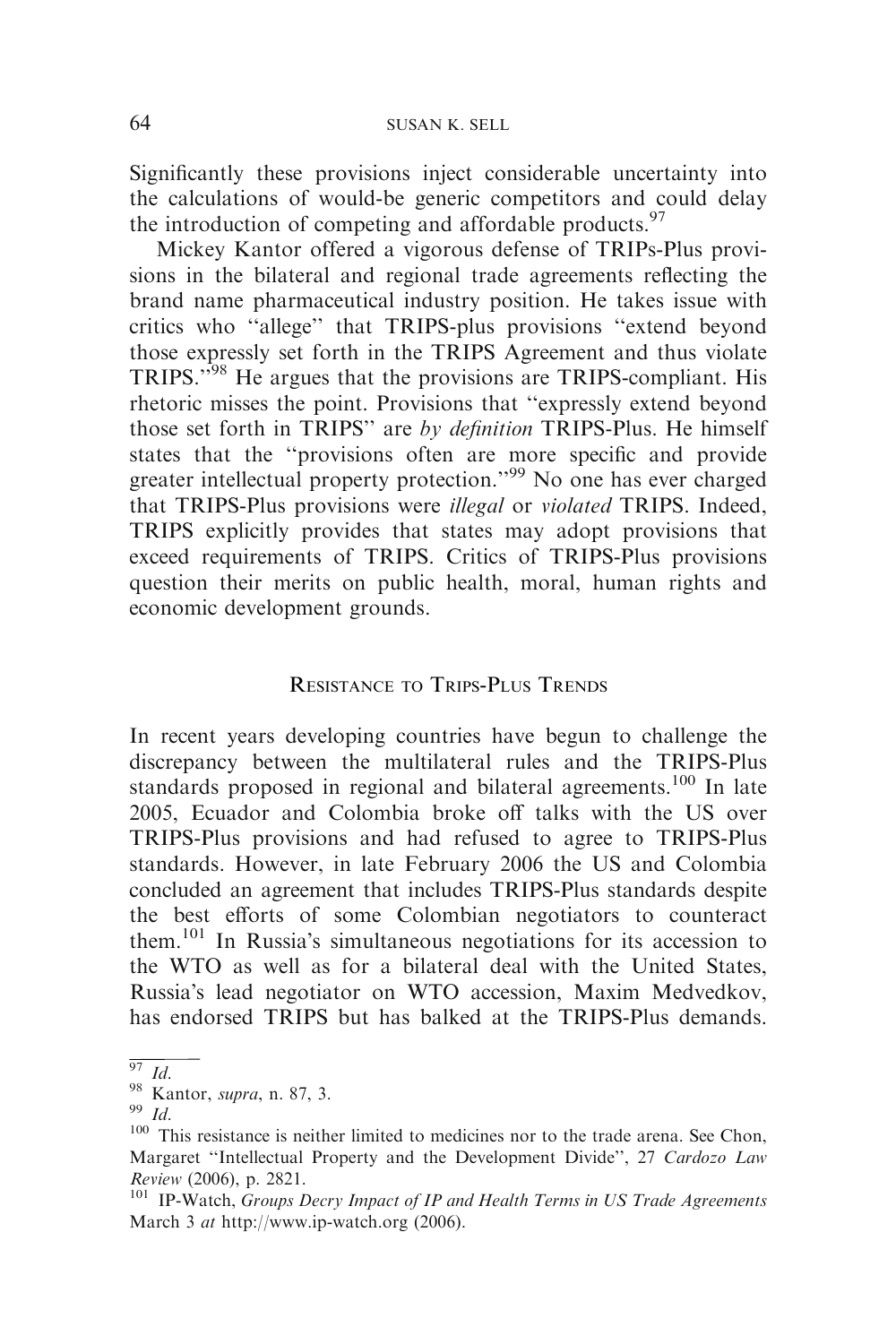Significantly these provisions inject considerable uncertainty into the calculations of would-be generic competitors and could delay the introduction of competing and affordable products.  $97$ 

Mickey Kantor offered a vigorous defense of TRIPs-Plus provisions in the bilateral and regional trade agreements reflecting the brand name pharmaceutical industry position. He takes issue with critics who ''allege'' that TRIPS-plus provisions ''extend beyond those expressly set forth in the TRIPS Agreement and thus violate TRIPS.<sup>'98</sup> He argues that the provisions are TRIPS-compliant. His rhetoric misses the point. Provisions that ''expressly extend beyond those set forth in TRIPS" are by definition TRIPS-Plus. He himself states that the ''provisions often are more specific and provide greater intellectual property protection.''<sup>99</sup> No one has ever charged that TRIPS-Plus provisions were illegal or violated TRIPS. Indeed, TRIPS explicitly provides that states may adopt provisions that exceed requirements of TRIPS. Critics of TRIPS-Plus provisions question their merits on public health, moral, human rights and economic development grounds.

### RESISTANCE TO TRIPS-PLUS TRENDS

In recent years developing countries have begun to challenge the discrepancy between the multilateral rules and the TRIPS-Plus standards proposed in regional and bilateral agreements.<sup>100</sup> In late 2005, Ecuador and Colombia broke off talks with the US over TRIPS-Plus provisions and had refused to agree to TRIPS-Plus standards. However, in late February 2006 the US and Colombia concluded an agreement that includes TRIPS-Plus standards despite the best efforts of some Colombian negotiators to counteract them.<sup>101</sup> In Russia's simultaneous negotiations for its accession to the WTO as well as for a bilateral deal with the United States, Russia's lead negotiator on WTO accession, Maxim Medvedkov, has endorsed TRIPS but has balked at the TRIPS-Plus demands.

 $\frac{97}{97}$  Id.<br>
98 Kantor, supra, n. 87, 3.<br>
99 Id.<br>
<sup>100</sup> This resistance is neither limited to medicines nor to the trade arena. See Chon, Margaret ''Intellectual Property and the Development Divide'', 27 Cardozo Law Review (2006), p. 2821.<br><sup>101</sup> IP-Watch, Groups Decry Impact of IP and Health Terms in US Trade Agreements

March 3 at http://www.ip-watch.org (2006).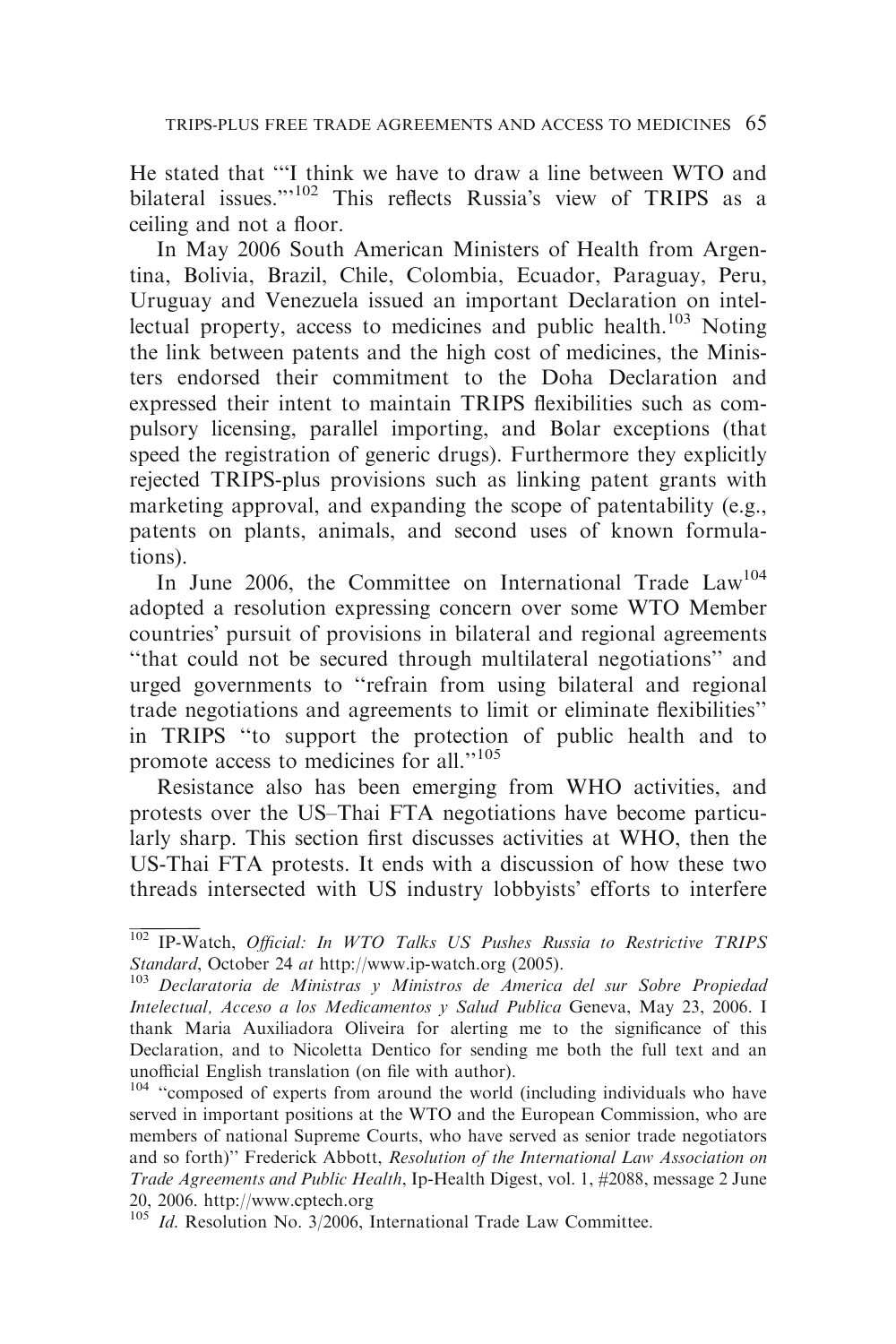He stated that "I think we have to draw a line between WTO and bilateral issues."<sup>102</sup> This reflects Russia's view of TRIPS as a ceiling and not a floor.

In May 2006 South American Ministers of Health from Argentina, Bolivia, Brazil, Chile, Colombia, Ecuador, Paraguay, Peru, Uruguay and Venezuela issued an important Declaration on intellectual property, access to medicines and public health.<sup>103</sup> Noting the link between patents and the high cost of medicines, the Ministers endorsed their commitment to the Doha Declaration and expressed their intent to maintain TRIPS flexibilities such as compulsory licensing, parallel importing, and Bolar exceptions (that speed the registration of generic drugs). Furthermore they explicitly rejected TRIPS-plus provisions such as linking patent grants with marketing approval, and expanding the scope of patentability (e.g., patents on plants, animals, and second uses of known formulations).

In June 2006, the Committee on International Trade Law<sup>104</sup> adopted a resolution expressing concern over some WTO Member countries' pursuit of provisions in bilateral and regional agreements ''that could not be secured through multilateral negotiations'' and urged governments to ''refrain from using bilateral and regional trade negotiations and agreements to limit or eliminate flexibilities'' in TRIPS ''to support the protection of public health and to promote access to medicines for all."<sup>105</sup>

Resistance also has been emerging from WHO activities, and protests over the US–Thai FTA negotiations have become particularly sharp. This section first discusses activities at WHO, then the US-Thai FTA protests. It ends with a discussion of how these two threads intersected with US industry lobbyists' efforts to interfere

<sup>&</sup>lt;sup>102</sup> IP-Watch, Official: In WTO Talks US Pushes Russia to Restrictive TRIPS Standard, October 24 at http://www.ip-watch.org (2005). <sup>103</sup> Declaratoria de Ministras y Ministros de America del sur Sobre Propiedad

Intelectual, Acceso a los Medicamentos y Salud Publica Geneva, May 23, 2006. I thank Maria Auxiliadora Oliveira for alerting me to the significance of this Declaration, and to Nicoletta Dentico for sending me both the full text and an unofficial English translation (on file with author).

<sup>&</sup>lt;sup>104</sup> "composed of experts from around the world (including individuals who have served in important positions at the WTO and the European Commission, who are members of national Supreme Courts, who have served as senior trade negotiators and so forth)'' Frederick Abbott, Resolution of the International Law Association on Trade Agreements and Public Health, Ip-Health Digest, vol. 1, #2088, message 2 June 20, 2006. http://www.cptech.org

<sup>&</sup>lt;sup>105</sup> Id. Resolution No. 3/2006, International Trade Law Committee.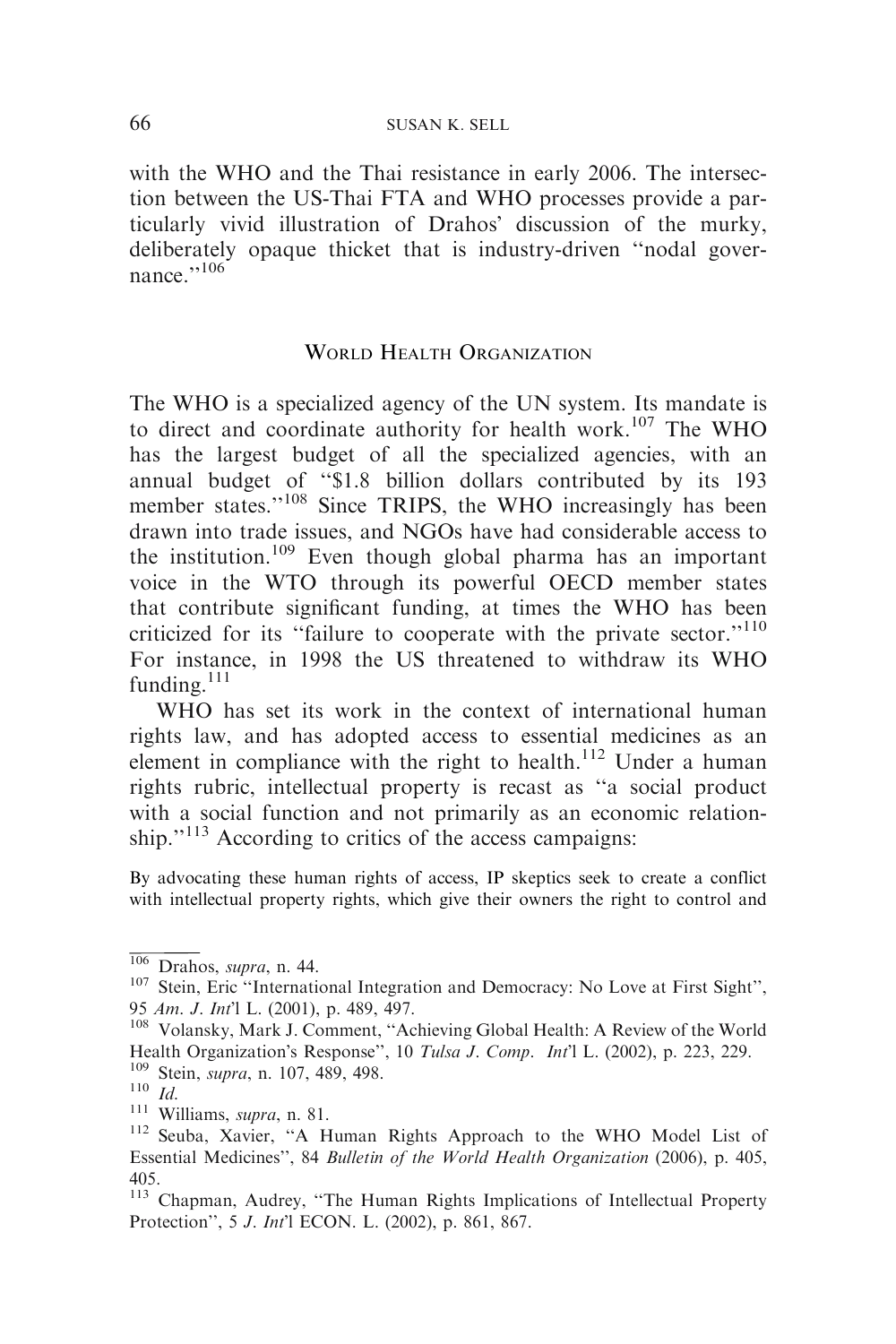with the WHO and the Thai resistance in early 2006. The intersection between the US-Thai FTA and WHO processes provide a particularly vivid illustration of Drahos' discussion of the murky, deliberately opaque thicket that is industry-driven ''nodal governance $"106"$ 

#### WORLD HEALTH ORGANIZATION

The WHO is a specialized agency of the UN system. Its mandate is to direct and coordinate authority for health work.<sup>107</sup> The WHO has the largest budget of all the specialized agencies, with an annual budget of ''\$1.8 billion dollars contributed by its 193 member states."<sup>108</sup> Since TRIPS, the WHO increasingly has been drawn into trade issues, and NGOs have had considerable access to the institution.109 Even though global pharma has an important voice in the WTO through its powerful OECD member states that contribute significant funding, at times the WHO has been criticized for its "failure to cooperate with the private sector."<sup>110</sup> For instance, in 1998 the US threatened to withdraw its WHO funding. $111$ 

WHO has set its work in the context of international human rights law, and has adopted access to essential medicines as an element in compliance with the right to health.<sup>112</sup> Under a human rights rubric, intellectual property is recast as ''a social product with a social function and not primarily as an economic relationship."<sup>113</sup> According to critics of the access campaigns:

By advocating these human rights of access, IP skeptics seek to create a conflict with intellectual property rights, which give their owners the right to control and

 $\frac{106}{106}$  Drahos, *supra*, n. 44.<br><sup>107</sup> Stein, Eric "International Integration and Democracy: No Love at First Sight", 95 Am. J. Int'l L. (2001), p. 489, 497.<br><sup>108</sup> Volansky, Mark J. Comment, "Achieving Global Health: A Review of the World

Health Organization's Response'', 10 Tulsa J. Comp. Int'l L. (2002), p. 223, 229.<br>
<sup>109</sup> Stein, *supra*, n. 107, 489, 498.<br>
<sup>111</sup> Williams, *supra*, n. 81.<br>
<sup>112</sup> Seuba, Xavier, ''A Human Rights Approach to the WHO Model L

Essential Medicines'', 84 Bulletin of the World Health Organization (2006), p. 405, 405.

<sup>113</sup> Chapman, Audrey, ''The Human Rights Implications of Intellectual Property Protection", 5 J. Int'l ECON. L. (2002), p. 861, 867.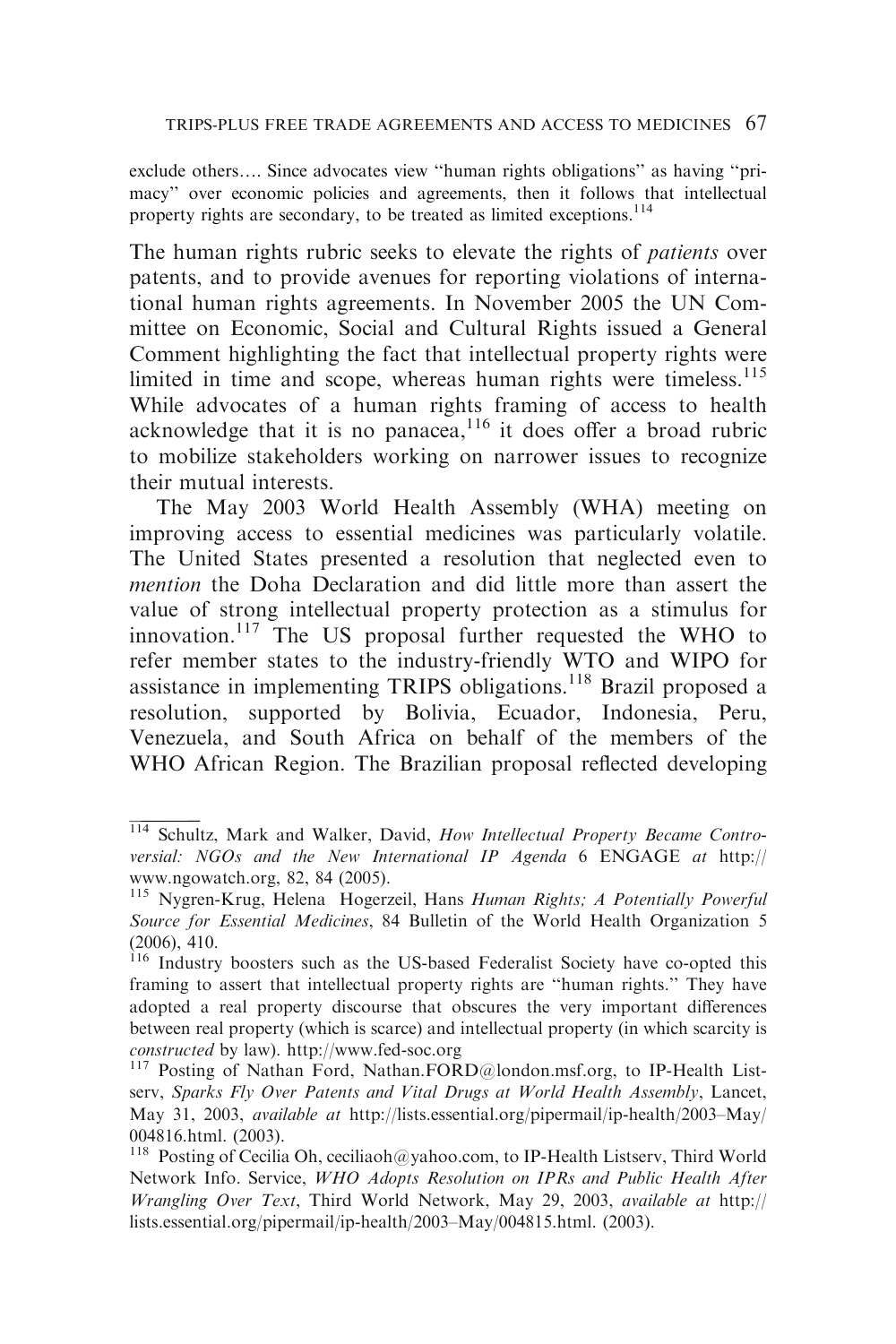exclude others…. Since advocates view ''human rights obligations'' as having ''primacy'' over economic policies and agreements, then it follows that intellectual property rights are secondary, to be treated as limited exceptions.<sup>114</sup>

The human rights rubric seeks to elevate the rights of *patients* over patents, and to provide avenues for reporting violations of international human rights agreements. In November 2005 the UN Committee on Economic, Social and Cultural Rights issued a General Comment highlighting the fact that intellectual property rights were limited in time and scope, whereas human rights were timeless.<sup>115</sup> While advocates of a human rights framing of access to health acknowledge that it is no panacea,<sup>116</sup> it does offer a broad rubric to mobilize stakeholders working on narrower issues to recognize their mutual interests.

The May 2003 World Health Assembly (WHA) meeting on improving access to essential medicines was particularly volatile. The United States presented a resolution that neglected even to mention the Doha Declaration and did little more than assert the value of strong intellectual property protection as a stimulus for innovation.117 The US proposal further requested the WHO to refer member states to the industry-friendly WTO and WIPO for assistance in implementing TRIPS obligations.<sup>118</sup> Brazil proposed a resolution, supported by Bolivia, Ecuador, Indonesia, Peru, Venezuela, and South Africa on behalf of the members of the WHO African Region. The Brazilian proposal reflected developing

<sup>&</sup>lt;sup>114</sup> Schultz, Mark and Walker, David, How Intellectual Property Became Controversial: NGOs and the New International IP Agenda 6 ENGAGE at http:// www.ngowatch.org, 82, 84 (2005).

<sup>&</sup>lt;sup>115</sup> Nygren-Krug, Helena Hogerzeil, Hans Human Rights; A Potentially Powerful Source for Essential Medicines, 84 Bulletin of the World Health Organization 5 (2006), 410.

<sup>&</sup>lt;sup>116</sup> Industry boosters such as the US-based Federalist Society have co-opted this framing to assert that intellectual property rights are ''human rights.'' They have adopted a real property discourse that obscures the very important differences between real property (which is scarce) and intellectual property (in which scarcity is constructed by law). http://www.fed-soc.org<br><sup>117</sup> Posting of Nathan Ford, Nathan.FORD@london.msf.org, to IP-Health List-

serv, Sparks Fly Over Patents and Vital Drugs at World Health Assembly, Lancet, May 31, 2003, available at http://lists.essential.org/pipermail/ip-health/2003–May/ 004816.html. (2003).

<sup>118</sup> Posting of Cecilia Oh, ceciliaoh@yahoo.com, to IP-Health Listserv, Third World Network Info. Service, WHO Adopts Resolution on IPRs and Public Health After Wrangling Over Text, Third World Network, May 29, 2003, available at http:// lists.essential.org/pipermail/ip-health/2003–May/004815.html. (2003).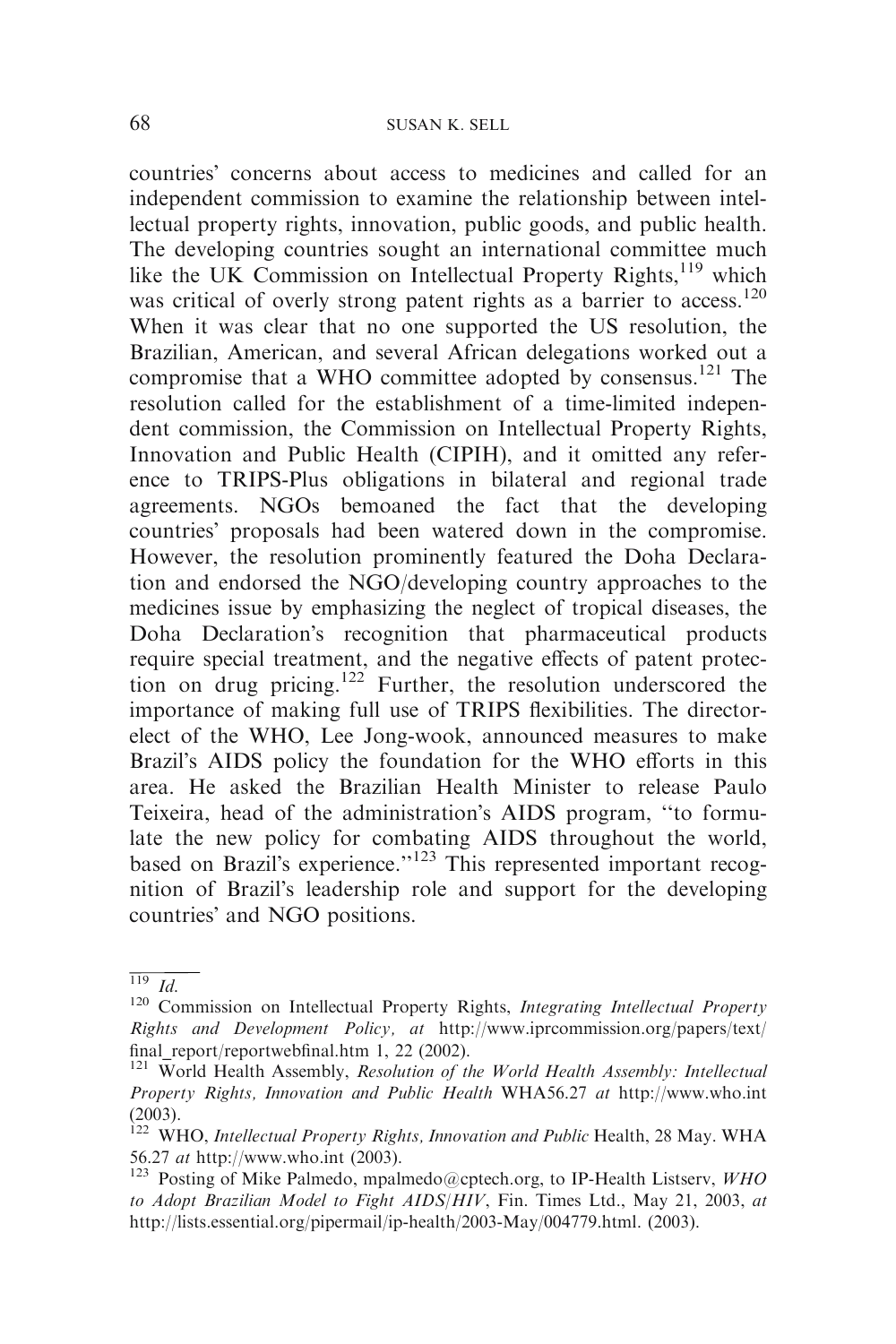countries' concerns about access to medicines and called for an independent commission to examine the relationship between intellectual property rights, innovation, public goods, and public health. The developing countries sought an international committee much like the UK Commission on Intellectual Property Rights,<sup>119</sup> which was critical of overly strong patent rights as a barrier to access.<sup>120</sup> When it was clear that no one supported the US resolution, the Brazilian, American, and several African delegations worked out a compromise that a WHO committee adopted by consensus.121 The resolution called for the establishment of a time-limited independent commission, the Commission on Intellectual Property Rights, Innovation and Public Health (CIPIH), and it omitted any reference to TRIPS-Plus obligations in bilateral and regional trade agreements. NGOs bemoaned the fact that the developing countries' proposals had been watered down in the compromise. However, the resolution prominently featured the Doha Declaration and endorsed the NGO/developing country approaches to the medicines issue by emphasizing the neglect of tropical diseases, the Doha Declaration's recognition that pharmaceutical products require special treatment, and the negative effects of patent protection on drug pricing.<sup>122</sup> Further, the resolution underscored the importance of making full use of TRIPS flexibilities. The directorelect of the WHO, Lee Jong-wook, announced measures to make Brazil's AIDS policy the foundation for the WHO efforts in this area. He asked the Brazilian Health Minister to release Paulo Teixeira, head of the administration's AIDS program, "to formulate the new policy for combating AIDS throughout the world, based on Brazil's experience."<sup>123</sup> This represented important recognition of Brazils leadership role and support for the developing countries' and NGO positions.

 $\frac{119}{119}$  *Id.*  $\frac{120}{120}$  Commission on Intellectual Property Rights, *Integrating Intellectual Property* Rights and Development Policy, at http://www.iprcommission.org/papers/text/ final\_report/reportwebfinal.htm 1, 22 (2002).

<sup>&</sup>lt;sup>121</sup> World Health Assembly, Resolution of the World Health Assembly: Intellectual Property Rights, Innovation and Public Health WHA56.27 at http://www.who.int (2003).

<sup>&</sup>lt;sup>122</sup> WHO, Intellectual Property Rights, Innovation and Public Health, 28 May. WHA 56.27 *at* http://www.who.int (2003).<br><sup>123</sup> Posting of Mike Palmedo, mpalmedo@cptech.org, to IP-Health Listserv, *WHO* 

to Adopt Brazilian Model to Fight AIDS/HIV, Fin. Times Ltd., May 21, 2003, at http://lists.essential.org/pipermail/ip-health/2003-May/004779.html. (2003).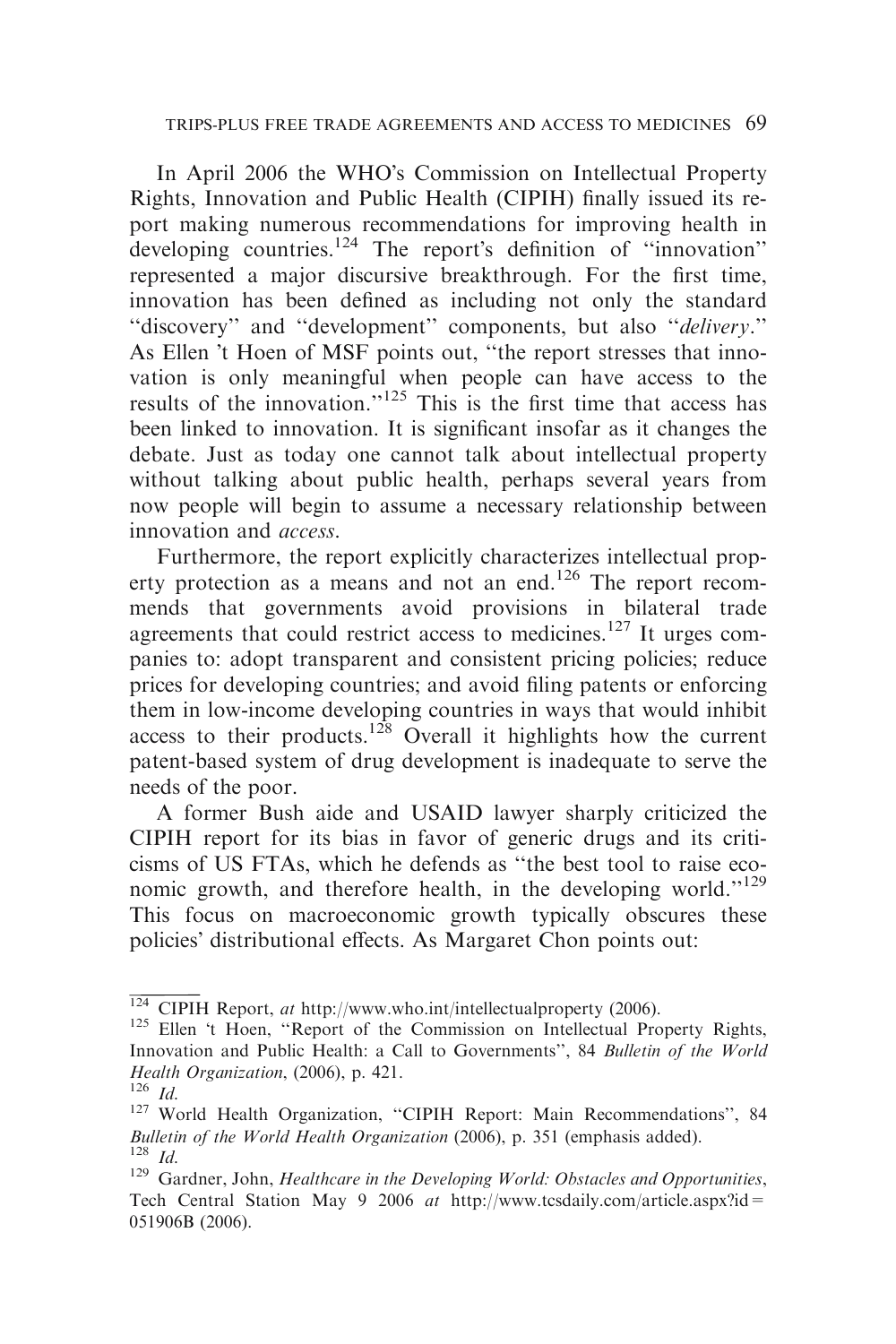In April 2006 the WHO's Commission on Intellectual Property Rights, Innovation and Public Health (CIPIH) finally issued its report making numerous recommendations for improving health in developing countries.<sup>124</sup> The report's definition of "innovation" represented a major discursive breakthrough. For the first time, innovation has been defined as including not only the standard ''discovery'' and ''development'' components, but also ''delivery.'' As Ellen 't Hoen of MSF points out, "the report stresses that innovation is only meaningful when people can have access to the results of the innovation."<sup>125</sup> This is the first time that access has been linked to innovation. It is significant insofar as it changes the debate. Just as today one cannot talk about intellectual property without talking about public health, perhaps several years from now people will begin to assume a necessary relationship between innovation and access.

Furthermore, the report explicitly characterizes intellectual property protection as a means and not an end.<sup>126</sup> The report recommends that governments avoid provisions in bilateral trade agreements that could restrict access to medicines.<sup>127</sup> It urges companies to: adopt transparent and consistent pricing policies; reduce prices for developing countries; and avoid filing patents or enforcing them in low-income developing countries in ways that would inhibit access to their products.<sup>128</sup> Overall it highlights how the current patent-based system of drug development is inadequate to serve the needs of the poor.

A former Bush aide and USAID lawyer sharply criticized the CIPIH report for its bias in favor of generic drugs and its criticisms of US FTAs, which he defends as ''the best tool to raise economic growth, and therefore health, in the developing world."<sup>129</sup> This focus on macroeconomic growth typically obscures these policies' distributional effects. As Margaret Chon points out:

<sup>&</sup>lt;sup>124</sup> CIPIH Report, *at* http://www.who.int/intellectualproperty (2006).<br><sup>125</sup> Ellen 't Hoen, "Report of the Commission on Intellectual Property Rights, Innovation and Public Health: a Call to Governments'', 84 Bulletin of the World

Health Organization, (2006), p. 421.<br><sup>126</sup> Id. 127 World Health Organization, "CIPIH Report: Main Recommendations", 84<br>Bulletin of the World Health Organization (2006), p. 351 (emphasis added).  $\frac{128}{128}$  Id.  $\frac{129}{128}$  Gardner, John, Healthcare in the Developing World: Obstacles and Opportunities,

Tech Central Station May 9 2006 at http://www.tcsdaily.com/article.aspx?id= 051906B (2006).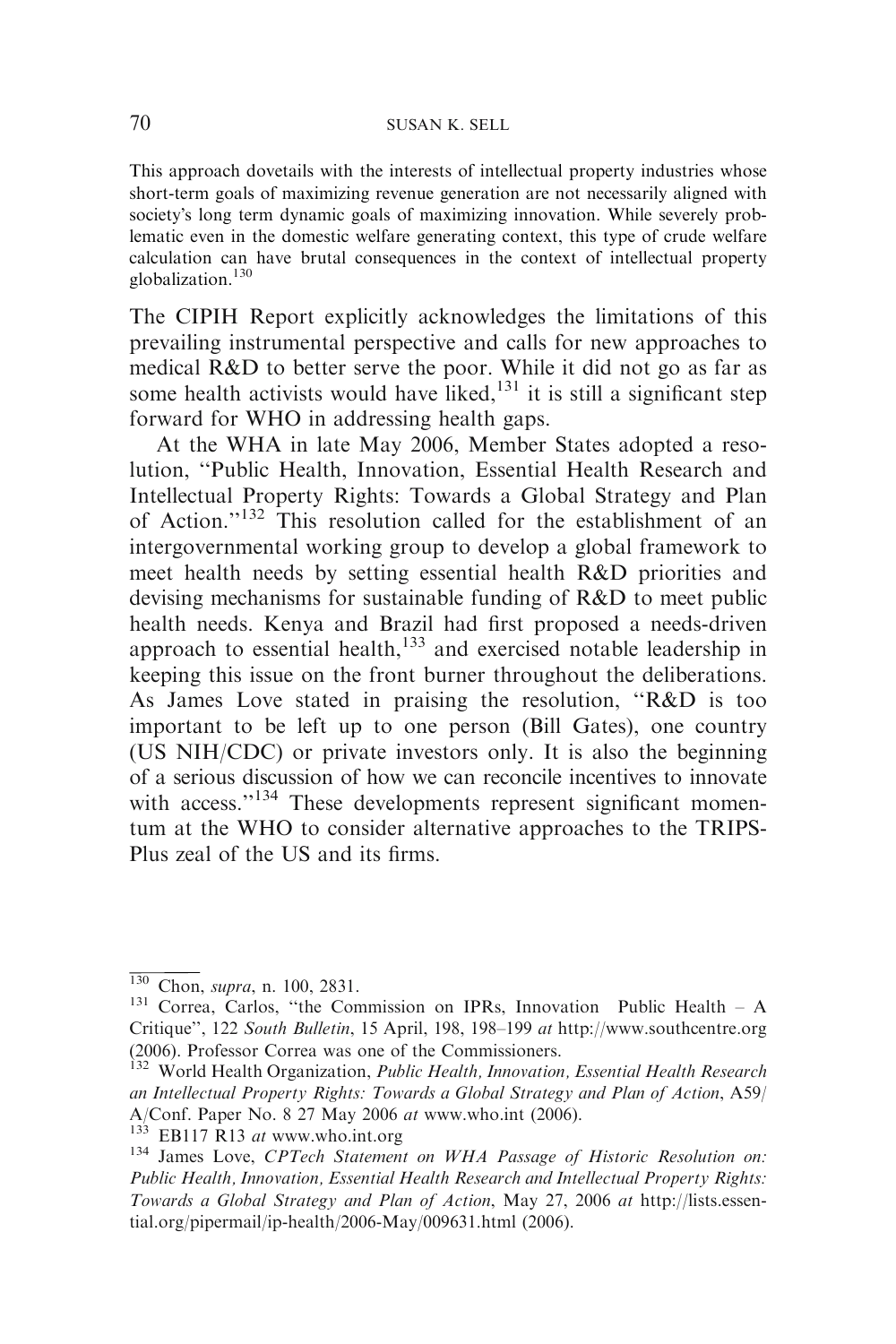This approach dovetails with the interests of intellectual property industries whose short-term goals of maximizing revenue generation are not necessarily aligned with societys long term dynamic goals of maximizing innovation. While severely problematic even in the domestic welfare generating context, this type of crude welfare calculation can have brutal consequences in the context of intellectual property globalization. $130$ 

The CIPIH Report explicitly acknowledges the limitations of this prevailing instrumental perspective and calls for new approaches to medical R&D to better serve the poor. While it did not go as far as some health activists would have liked, $131$  it is still a significant step forward for WHO in addressing health gaps.

At the WHA in late May 2006, Member States adopted a resolution, ''Public Health, Innovation, Essential Health Research and Intellectual Property Rights: Towards a Global Strategy and Plan of Action.''<sup>132</sup> This resolution called for the establishment of an intergovernmental working group to develop a global framework to meet health needs by setting essential health R&D priorities and devising mechanisms for sustainable funding of R&D to meet public health needs. Kenya and Brazil had first proposed a needs-driven approach to essential health,<sup>133</sup> and exercised notable leadership in keeping this issue on the front burner throughout the deliberations. As James Love stated in praising the resolution, ''R&D is too important to be left up to one person (Bill Gates), one country (US NIH/CDC) or private investors only. It is also the beginning of a serious discussion of how we can reconcile incentives to innovate with access."<sup>134</sup> These developments represent significant momentum at the WHO to consider alternative approaches to the TRIPS-Plus zeal of the US and its firms.

 $\frac{130}{130}$  Chon, *supra*, n. 100, 2831.<br><sup>131</sup> Correa, Carlos, "the Commission on IPRs, Innovation Public Health – A Critique'', 122 South Bulletin, 15 April, 198, 198–199 at http://www.southcentre.org (2006). Professor Correa was one of the Commissioners.

<sup>&</sup>lt;sup>132</sup> World Health Organization, Public Health, Innovation, Essential Health Research an Intellectual Property Rights: Towards a Global Strategy and Plan of Action, A59/ A/Conf. Paper No. 8 27 May 2006 *at* www.who.int (2006).<br><sup>133</sup> EB117 R13 *at* www.who.int.org<br><sup>134</sup> James Love, *CPTech Statement on WHA Passage of Historic Resolution on:* 

Public Health, Innovation, Essential Health Research and Intellectual Property Rights: Towards a Global Strategy and Plan of Action, May 27, 2006 at http://lists.essential.org/pipermail/ip-health/2006-May/009631.html (2006).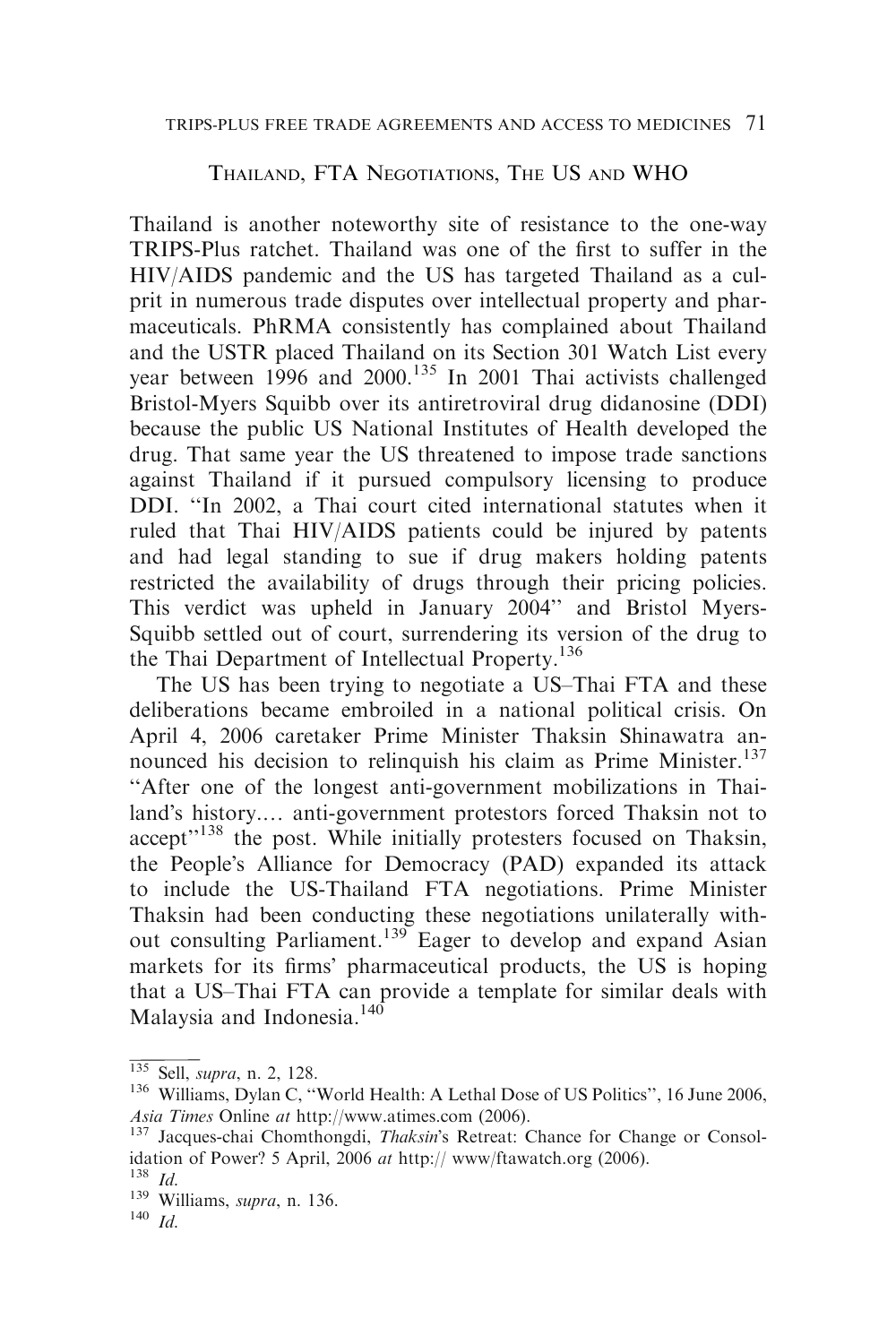#### THAILAND, FTA NEGOTIATIONS, THE US AND WHO

Thailand is another noteworthy site of resistance to the one-way TRIPS-Plus ratchet. Thailand was one of the first to suffer in the HIV/AIDS pandemic and the US has targeted Thailand as a culprit in numerous trade disputes over intellectual property and pharmaceuticals. PhRMA consistently has complained about Thailand and the USTR placed Thailand on its Section 301 Watch List every year between 1996 and 2000.<sup>135</sup> In 2001 Thai activists challenged Bristol-Myers Squibb over its antiretroviral drug didanosine (DDI) because the public US National Institutes of Health developed the drug. That same year the US threatened to impose trade sanctions against Thailand if it pursued compulsory licensing to produce DDI. ''In 2002, a Thai court cited international statutes when it ruled that Thai HIV/AIDS patients could be injured by patents and had legal standing to sue if drug makers holding patents restricted the availability of drugs through their pricing policies. This verdict was upheld in January 2004'' and Bristol Myers-Squibb settled out of court, surrendering its version of the drug to the Thai Department of Intellectual Property.<sup>136</sup>

The US has been trying to negotiate a US–Thai FTA and these deliberations became embroiled in a national political crisis. On April 4, 2006 caretaker Prime Minister Thaksin Shinawatra announced his decision to relinquish his claim as Prime Minister.<sup>137</sup> ''After one of the longest anti-government mobilizations in Thailand's history.... anti-government protestors forced Thaksin not to accept<sup>"138</sup> the post. While initially protesters focused on Thaksin, the People's Alliance for Democracy (PAD) expanded its attack to include the US-Thailand FTA negotiations. Prime Minister Thaksin had been conducting these negotiations unilaterally without consulting Parliament.139 Eager to develop and expand Asian markets for its firms' pharmaceutical products, the US is hoping that a US–Thai FTA can provide a template for similar deals with Malaysia and Indonesia.<sup>140</sup>

 $\frac{135}{135}$  Sell, *supra*, n. 2, 128.<br><sup>136</sup> Williams, Dylan C, "World Health: A Lethal Dose of US Politics", 16 June 2006, Asia Times Online at http://www.atimes.com (2006).<br><sup>137</sup> Jacques-chai Chomthongdi, *Thaksin*'s Retreat: Chance for Change or Consol-

idation of Power? 5 April, 2006 *at* http:// www/ftawatch.org (2006).<br><sup>138</sup> Id. <sup>139</sup> Williams, *supra*, n. 136.<br><sup>140</sup> Id.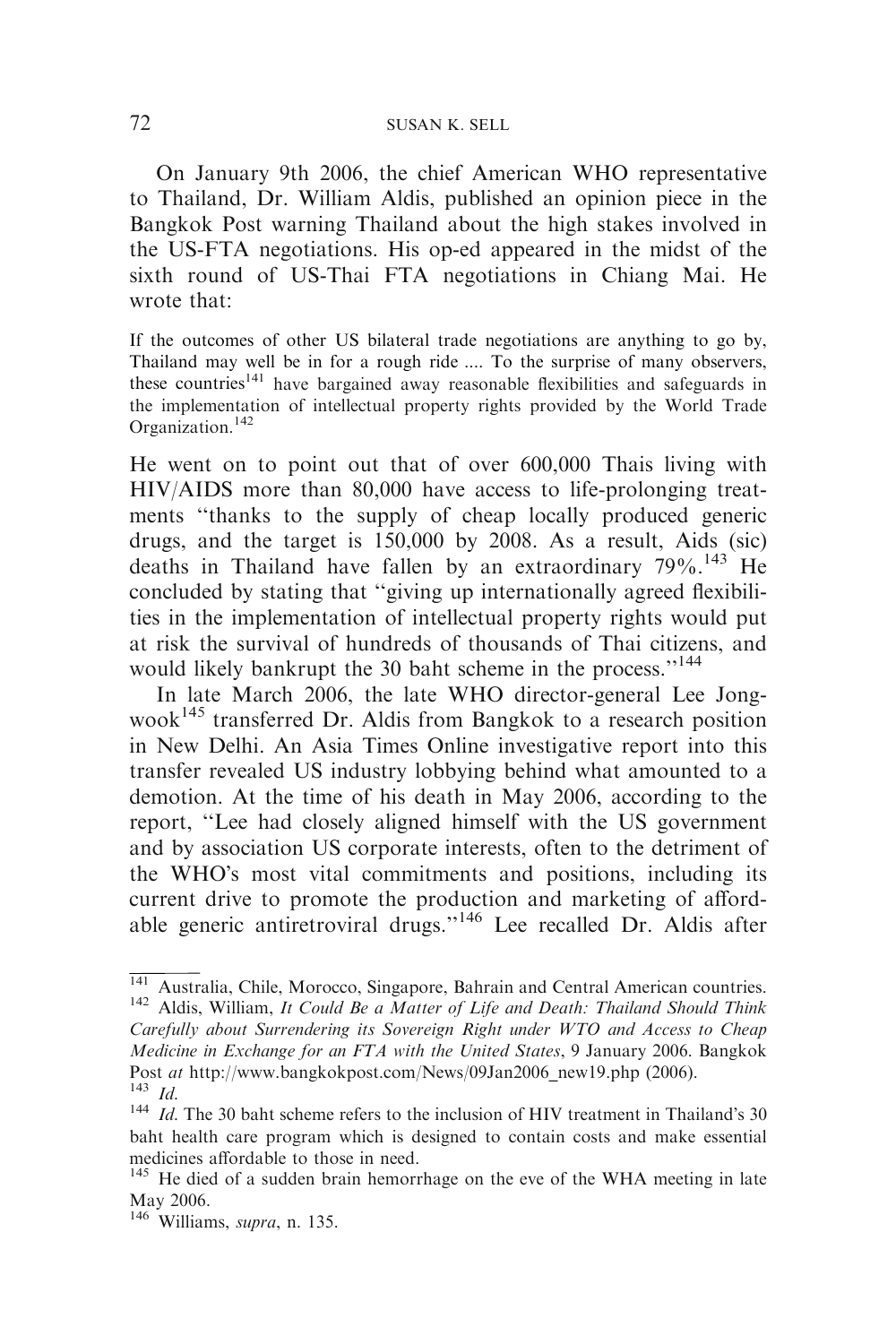On January 9th 2006, the chief American WHO representative to Thailand, Dr. William Aldis, published an opinion piece in the Bangkok Post warning Thailand about the high stakes involved in the US-FTA negotiations. His op-ed appeared in the midst of the sixth round of US-Thai FTA negotiations in Chiang Mai. He wrote that:

If the outcomes of other US bilateral trade negotiations are anything to go by, Thailand may well be in for a rough ride .... To the surprise of many observers, these countries<sup>141</sup> have bargained away reasonable flexibilities and safeguards in the implementation of intellectual property rights provided by the World Trade Organization.<sup>142</sup>

He went on to point out that of over 600,000 Thais living with HIV/AIDS more than 80,000 have access to life-prolonging treatments ''thanks to the supply of cheap locally produced generic drugs, and the target is 150,000 by 2008. As a result, Aids (sic) deaths in Thailand have fallen by an extraordinary 79%.<sup>143</sup> He concluded by stating that ''giving up internationally agreed flexibilities in the implementation of intellectual property rights would put at risk the survival of hundreds of thousands of Thai citizens, and would likely bankrupt the 30 baht scheme in the process."<sup>144</sup>

In late March 2006, the late WHO director-general Lee Jongwook<sup>145</sup> transferred Dr. Aldis from Bangkok to a research position in New Delhi. An Asia Times Online investigative report into this transfer revealed US industry lobbying behind what amounted to a demotion. At the time of his death in May 2006, according to the report, ''Lee had closely aligned himself with the US government and by association US corporate interests, often to the detriment of the WHO's most vital commitments and positions, including its current drive to promote the production and marketing of affordable generic antiretroviral drugs.''146 Lee recalled Dr. Aldis after

 $\frac{141}{141}$  Australia, Chile, Morocco, Singapore, Bahrain and Central American countries. 142 Aldis, William, It Could Be a Matter of Life and Death: Thailand Should Think Carefully about Surrendering its Sovereign Right under WTO and Access to Cheap Medicine in Exchange for an FTA with the United States, 9 January 2006. Bangkok Post at http://www.bangkokpost.com/News/09Jan2006\_new19.php (2006). <sup>143</sup> Id.  $\frac{1}{4}$  Id. The 30 baht scheme refers to the inclusion of HIV treatment in Thailand's 30

baht health care program which is designed to contain costs and make essential medicines affordable to those in need.

<sup>&</sup>lt;sup>145</sup> He died of a sudden brain hemorrhage on the eve of the WHA meeting in late May 2006.

<sup>146</sup> Williams, supra, n. 135.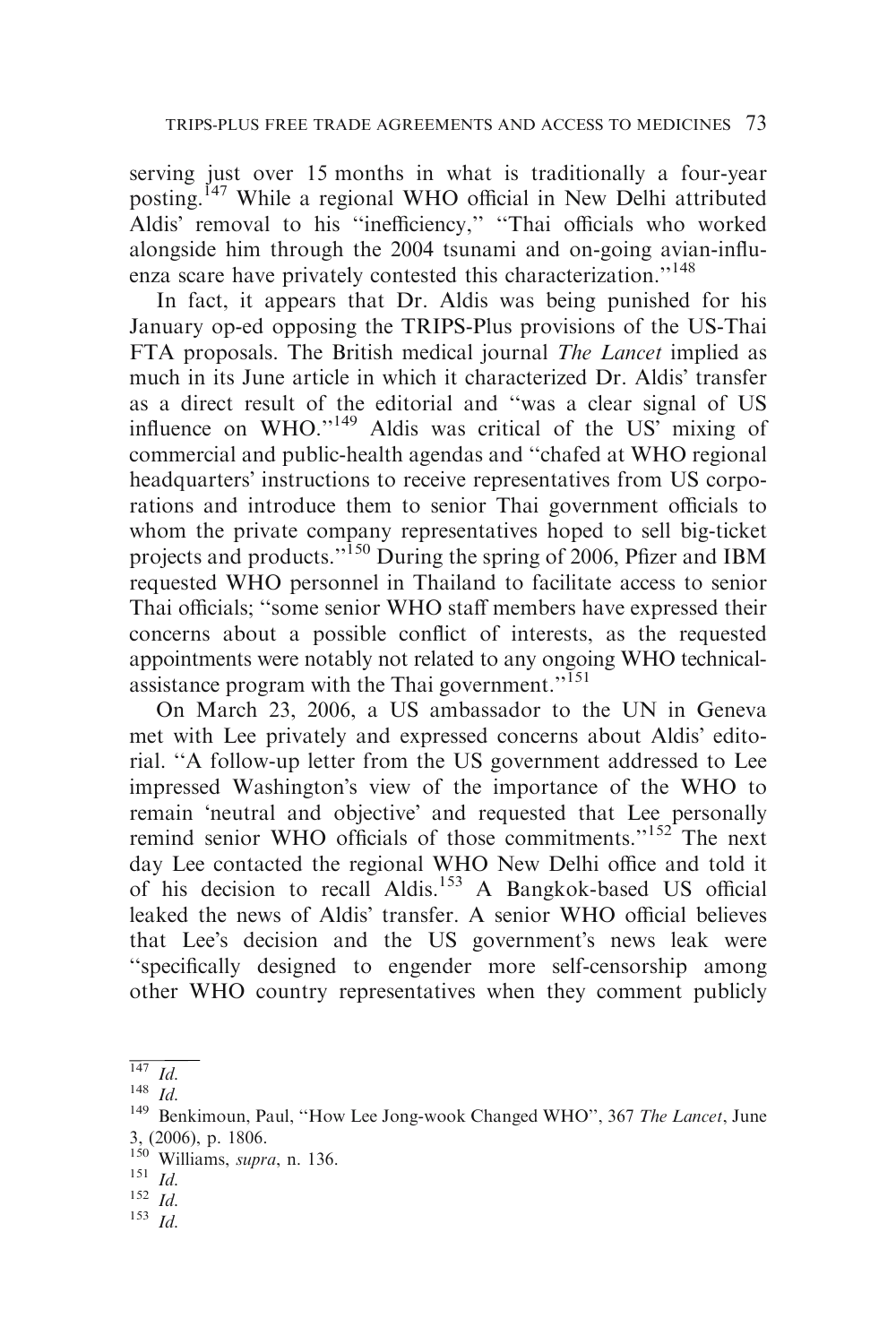serving just over 15 months in what is traditionally a four-year posting.<sup>147</sup> While a regional WHO official in New Delhi attributed Aldis' removal to his "inefficiency," "Thai officials who worked alongside him through the 2004 tsunami and on-going avian-influenza scare have privately contested this characterization."<sup>148</sup>

In fact, it appears that Dr. Aldis was being punished for his January op-ed opposing the TRIPS-Plus provisions of the US-Thai FTA proposals. The British medical journal The Lancet implied as much in its June article in which it characterized Dr. Aldis' transfer as a direct result of the editorial and ''was a clear signal of US influence on WHO. $149$  Aldis was critical of the US $^{\prime}$  mixing of commercial and public-health agendas and ''chafed at WHO regional headquarters' instructions to receive representatives from US corporations and introduce them to senior Thai government officials to whom the private company representatives hoped to sell big-ticket projects and products.''150 During the spring of 2006, Pfizer and IBM requested WHO personnel in Thailand to facilitate access to senior Thai officials; ''some senior WHO staff members have expressed their concerns about a possible conflict of interests, as the requested appointments were notably not related to any ongoing WHO technicalassistance program with the Thai government."<sup>151</sup>

On March 23, 2006, a US ambassador to the UN in Geneva met with Lee privately and expressed concerns about Aldis' editorial. ''A follow-up letter from the US government addressed to Lee impressed Washington's view of the importance of the WHO to remain 'neutral and objective' and requested that Lee personally remind senior WHO officials of those commitments."<sup>152</sup> The next day Lee contacted the regional WHO New Delhi office and told it of his decision to recall Aldis.<sup>153</sup> A Bangkok-based US official leaked the news of Aldis' transfer. A senior WHO official believes that Lee's decision and the US government's news leak were ''specifically designed to engender more self-censorship among other WHO country representatives when they comment publicly

- 
- 

 $\frac{147}{147}$  *Id.* 148 *Id.* 148 *Id.* 149 Benkimoun, Paul, "How Lee Jong-wook Changed WHO", 367 *The Lancet*, June 3, (2006), p. 1806.

 $\frac{150}{151}$  Williams, *supra*, n. 136.<br>
151 Id.<br>
152 Id.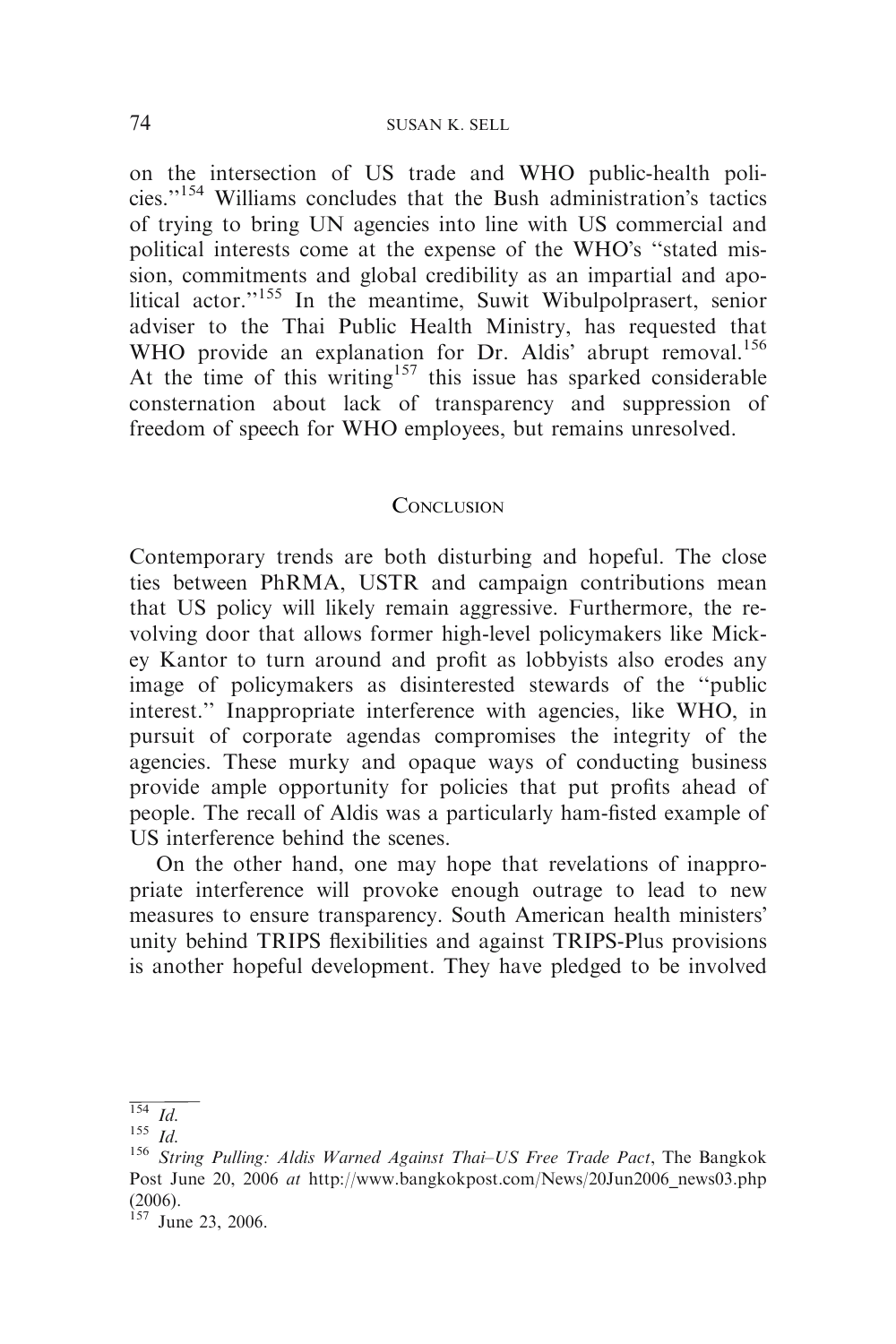on the intersection of US trade and WHO public-health poli $cies.$ <sup>''154</sup> Williams concludes that the Bush administration's tactics of trying to bring UN agencies into line with US commercial and political interests come at the expense of the WHO's "stated mission, commitments and global credibility as an impartial and apolitical actor."<sup>155</sup> In the meantime, Suwit Wibulpolprasert, senior adviser to the Thai Public Health Ministry, has requested that WHO provide an explanation for Dr. Aldis' abrupt removal.<sup>156</sup> At the time of this writing<sup>157</sup> this issue has sparked considerable consternation about lack of transparency and suppression of freedom of speech for WHO employees, but remains unresolved.

#### **CONCLUSION**

Contemporary trends are both disturbing and hopeful. The close ties between PhRMA, USTR and campaign contributions mean that US policy will likely remain aggressive. Furthermore, the revolving door that allows former high-level policymakers like Mickey Kantor to turn around and profit as lobbyists also erodes any image of policymakers as disinterested stewards of the ''public interest.'' Inappropriate interference with agencies, like WHO, in pursuit of corporate agendas compromises the integrity of the agencies. These murky and opaque ways of conducting business provide ample opportunity for policies that put profits ahead of people. The recall of Aldis was a particularly ham-fisted example of US interference behind the scenes.

On the other hand, one may hope that revelations of inappropriate interference will provoke enough outrage to lead to new measures to ensure transparency. South American health ministers unity behind TRIPS flexibilities and against TRIPS-Plus provisions is another hopeful development. They have pledged to be involved

 $\frac{154}{154}$  *Id.* 155 *Id.* 155 *Id.* 155 *Id.* 156 String Pulling: Aldis Warned Against Thai–US Free Trade Pact, The Bangkok Post June 20, 2006 at http://www.bangkokpost.com/News/20Jun2006 news03.php (2006).

 $157$  June 23, 2006.